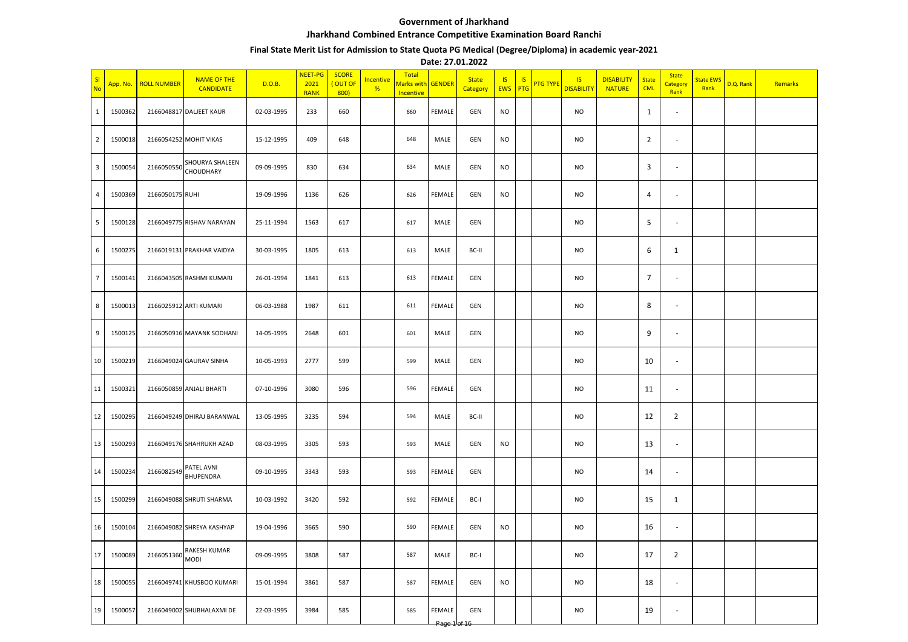## **Government of Jharkhand Jharkhand Combined Entrance Competitive Examination Board Ranchi**

## **Final State Merit List for Admission to State Quota PG Medical (Degree/Diploma) in academic year-2021**

**Date: 27.01.2022**

| S<br><b>No</b>          | App. No. | <b>ROLL NUMBER</b> | <b>NAME OF THE</b><br><b>CANDIDATE</b> | D.O.B.     | <b>NEET-PG</b><br>2021<br><b>RANK</b> | <b>SCORE</b><br>(OUT OF<br>800) | Incentive<br>% | Total<br>Marks with <mark>GENDER</mark><br>Incentive |               | <b>State</b><br>Category | <b>IS</b><br><b>EWS</b> | <b>IS</b><br>PTG | <mark>PTG TYPE</mark> | <b>IS</b><br><b>DISABILITY</b> | <b>DISABILITY</b><br><b>NATURE</b> | <b>State</b><br><b>CML</b> | <b>State</b><br>Category<br>Rank | <b>State EWS</b><br>Rank | D.Q. Rank | Remarks |
|-------------------------|----------|--------------------|----------------------------------------|------------|---------------------------------------|---------------------------------|----------------|------------------------------------------------------|---------------|--------------------------|-------------------------|------------------|-----------------------|--------------------------------|------------------------------------|----------------------------|----------------------------------|--------------------------|-----------|---------|
| 1                       | 1500362  |                    | 2166048817 DALJEET KAUR                | 02-03-1995 | 233                                   | 660                             |                | 660                                                  | FEMALE        | GEN                      | <b>NO</b>               |                  |                       | NO                             |                                    | $\mathbf{1}$               | $\overline{\phantom{a}}$         |                          |           |         |
| $\overline{2}$          | 1500018  |                    | 2166054252 MOHIT VIKAS                 | 15-12-1995 | 409                                   | 648                             |                | 648                                                  | MALE          | GEN                      | <b>NO</b>               |                  |                       | <b>NO</b>                      |                                    | $\overline{2}$             | $\sim$                           |                          |           |         |
| $\overline{\mathbf{3}}$ | 1500054  | 2166050550         | SHOURYA SHALEEN<br><b>CHOUDHARY</b>    | 09-09-1995 | 830                                   | 634                             |                | 634                                                  | MALE          | GEN                      | <b>NO</b>               |                  |                       | <b>NO</b>                      |                                    | 3                          | $\sim$                           |                          |           |         |
| 4                       | 1500369  | 2166050175 RUHI    |                                        | 19-09-1996 | 1136                                  | 626                             |                | 626                                                  | FEMALE        | GEN                      | <b>NO</b>               |                  |                       | <b>NO</b>                      |                                    | 4                          | $\sim$                           |                          |           |         |
| 5                       | 1500128  |                    | 2166049775 RISHAV NARAYAN              | 25-11-1994 | 1563                                  | 617                             |                | 617                                                  | MALE          | GEN                      |                         |                  |                       | <b>NO</b>                      |                                    | 5                          | $\sim$                           |                          |           |         |
| 6                       | 1500275  |                    | 2166019131 PRAKHAR VAIDYA              | 30-03-1995 | 1805                                  | 613                             |                | 613                                                  | MALE          | BC-II                    |                         |                  |                       | <b>NO</b>                      |                                    | 6                          | $\mathbf{1}$                     |                          |           |         |
| $\overline{7}$          | 1500141  |                    | 2166043505 RASHMI KUMARI               | 26-01-1994 | 1841                                  | 613                             |                | 613                                                  | FEMALE        | GEN                      |                         |                  |                       | <b>NO</b>                      |                                    | $\overline{7}$             | $\sim$                           |                          |           |         |
| 8                       | 1500013  |                    | 2166025912 ARTI KUMARI                 | 06-03-1988 | 1987                                  | 611                             |                | 611                                                  | FEMALE        | GEN                      |                         |                  |                       | <b>NO</b>                      |                                    | 8                          | $\overline{\phantom{a}}$         |                          |           |         |
| 9                       | 1500125  |                    | 2166050916 MAYANK SODHANI              | 14-05-1995 | 2648                                  | 601                             |                | 601                                                  | MALE          | GEN                      |                         |                  |                       | <b>NO</b>                      |                                    | 9                          | $\overline{\phantom{a}}$         |                          |           |         |
| 10                      | 1500219  |                    | 2166049024 GAURAV SINHA                | 10-05-1993 | 2777                                  | 599                             |                | 599                                                  | MALE          | GEN                      |                         |                  |                       | NO                             |                                    | 10                         | $\sim$                           |                          |           |         |
| 11                      | 1500321  |                    | 2166050859 ANJALI BHARTI               | 07-10-1996 | 3080                                  | 596                             |                | 596                                                  | <b>FEMALE</b> | GEN                      |                         |                  |                       | NO.                            |                                    | 11                         | $\overline{\phantom{a}}$         |                          |           |         |
| 12                      | 1500295  |                    | 2166049249 DHIRAJ BARANWAL             | 13-05-1995 | 3235                                  | 594                             |                | 594                                                  | MALE          | BC-II                    |                         |                  |                       | <b>NO</b>                      |                                    | 12                         | $\overline{2}$                   |                          |           |         |
| 13                      | 1500293  |                    | 2166049176 SHAHRUKH AZAD               | 08-03-1995 | 3305                                  | 593                             |                | 593                                                  | MALE          | GEN                      | <b>NO</b>               |                  |                       | <b>NO</b>                      |                                    | 13                         | $\overline{\phantom{a}}$         |                          |           |         |
| 14                      | 1500234  | 216608254          | PATEL AVNI<br><b>BHUPENDRA</b>         | 09-10-1995 | 3343                                  | 593                             |                | 593                                                  | <b>FEMALE</b> | GEN                      |                         |                  |                       | NO                             |                                    | 14                         | $\overline{\phantom{a}}$         |                          |           |         |
| 15                      | 1500299  |                    | 2166049088 SHRUTI SHARMA               | 10-03-1992 | 3420                                  | 592                             |                | 592                                                  | FEMALE        | BC-I                     |                         |                  |                       | NO                             |                                    | 15                         | $\mathbf{1}$                     |                          |           |         |
| 16                      | 1500104  |                    | 2166049082 SHREYA KASHYAP              | 19-04-1996 | 3665                                  | 590                             |                | 590                                                  | <b>FEMALE</b> | GEN                      | <b>NO</b>               |                  |                       | <b>NO</b>                      |                                    | 16                         | $\sim$                           |                          |           |         |
| 17                      | 1500089  | 2166051360         | RAKESH KUMAR<br><b>MODI</b>            | 09-09-1995 | 3808                                  | 587                             |                | 587                                                  | MALE          | BC-I                     |                         |                  |                       | <b>NO</b>                      |                                    | 17                         | $\overline{2}$                   |                          |           |         |
| 18                      | 1500055  |                    | 2166049741 KHUSBOO KUMARI              | 15-01-1994 | 3861                                  | 587                             |                | 587                                                  | FEMALE        | GEN                      | <b>NO</b>               |                  |                       | <b>NO</b>                      |                                    | 18                         | $\sim$                           |                          |           |         |
| 19                      | 1500057  |                    | 2166049002 SHUBHALAXMI DE              | 22-03-1995 | 3984                                  | 585                             |                | 585                                                  | FEMALE        | GEN                      |                         |                  |                       | <b>NO</b>                      |                                    | 19                         | $\mathcal{L}_{\mathcal{A}}$      |                          |           |         |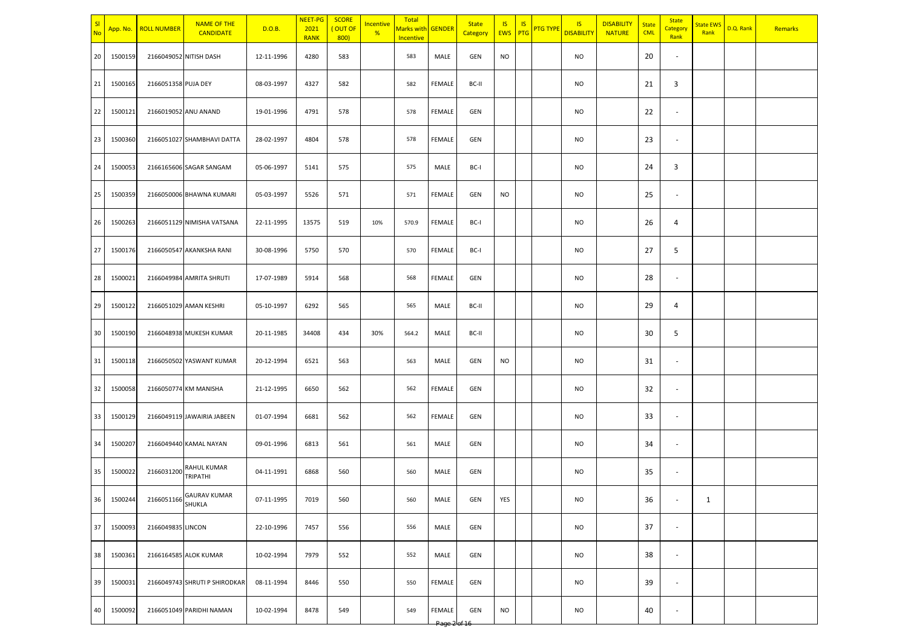| SI<br><b>No</b> | App. No.   | <b>ROLL NUMBER</b>  | <b>NAME OF THE</b><br><b>CANDIDATE</b> | D.O.B.     | NEET-PG<br>2021<br><b>RANK</b> | <b>SCORE</b><br>OUT OF<br>800 | Incentive<br>% | Total<br>Marks with GENDER<br>Incentive |                | <b>State</b><br>Category | <b>IS</b><br>EWS PTG | <b>IS</b> | <mark>PTG TYPE</mark> | IS<br><b>DISABILITY</b> | <b>DISABILITY</b><br><b>NATURE</b> | <b>State</b><br><b>CML</b> | <b>State</b><br>Category<br>Rank | <b>State EWS</b><br>Rank | D.Q. Rank | Remarks |
|-----------------|------------|---------------------|----------------------------------------|------------|--------------------------------|-------------------------------|----------------|-----------------------------------------|----------------|--------------------------|----------------------|-----------|-----------------------|-------------------------|------------------------------------|----------------------------|----------------------------------|--------------------------|-----------|---------|
| 20              | 1500159    |                     | 2166049052 NITISH DASH                 | 12-11-1996 | 4280                           | 583                           |                | 583                                     | MALE           | GEN                      | <b>NO</b>            |           |                       | <b>NO</b>               |                                    | 20                         | $\overline{\phantom{a}}$         |                          |           |         |
| 21              | 1500165    | 2166051358 PUJA DEY |                                        | 08-03-1997 | 4327                           | 582                           |                | 582                                     | FEMALE         | BC-II                    |                      |           |                       | <b>NO</b>               |                                    | 21                         | 3                                |                          |           |         |
| 22              | 1500121    |                     | 2166019052 ANU ANAND                   | 19-01-1996 | 4791                           | 578                           |                | 578                                     | FEMALE         | GEN                      |                      |           |                       | NO                      |                                    | 22                         | $\overline{\phantom{a}}$         |                          |           |         |
| 23              | 1500360    |                     | 2166051027 SHAMBHAVI DATTA             | 28-02-1997 | 4804                           | 578                           |                | 578                                     | FEMALE         | GEN                      |                      |           |                       | <b>NO</b>               |                                    | 23                         | ×.                               |                          |           |         |
| 24              | 1500053    |                     | 2166165606 SAGAR SANGAM                | 05-06-1997 | 5141                           | 575                           |                | 575                                     | MALE           | BC-I                     |                      |           |                       | <b>NO</b>               |                                    | 24                         | 3                                |                          |           |         |
| 25              | 1500359    |                     | 2166050006 BHAWNA KUMARI               | 05-03-1997 | 5526                           | 571                           |                | 571                                     | FEMALE         | GEN                      | <b>NO</b>            |           |                       | <b>NO</b>               |                                    | 25                         | $\overline{\phantom{a}}$         |                          |           |         |
| 26              | 1500263    |                     | 2166051129 NIMISHA VATSANA             | 22-11-1995 | 13575                          | 519                           | 10%            | 570.9                                   | FEMALE         | BC-I                     |                      |           |                       | <b>NO</b>               |                                    | 26                         | 4                                |                          |           |         |
| 27              | 1500176    |                     | 2166050547 AKANKSHA RANI               | 30-08-1996 | 5750                           | 570                           |                | 570                                     | <b>FEMALE</b>  | BC-I                     |                      |           |                       | <b>NO</b>               |                                    | 27                         | 5                                |                          |           |         |
| 28              | 1500021    |                     | 2166049984 AMRITA SHRUTI               | 17-07-1989 | 5914                           | 568                           |                | 568                                     | FEMALE         | GEN                      |                      |           |                       | <b>NO</b>               |                                    | 28                         | $\overline{\phantom{a}}$         |                          |           |         |
| 29              | 1500122    |                     | 2166051029 AMAN KESHRI                 | 05-10-1997 | 6292                           | 565                           |                | 565                                     | MALE           | BC-II                    |                      |           |                       | NO                      |                                    | 29                         | 4                                |                          |           |         |
| 30              | 1500190    |                     | 2166048938 MUKESH KUMAR                | 20-11-1985 | 34408                          | 434                           | 30%            | 564.2                                   | MALE           | BC-II                    |                      |           |                       | <b>NO</b>               |                                    | 30                         | 5                                |                          |           |         |
| 31              | 1500118    |                     | 2166050502 YASWANT KUMAR               | 20-12-1994 | 6521                           | 563                           |                | 563                                     | MALE           | GEN                      | <b>NO</b>            |           |                       | <b>NO</b>               |                                    | 31                         | $\sim$                           |                          |           |         |
| 32              | 1500058    |                     | 2166050774 KM MANISHA                  | 21-12-1995 | 6650                           | 562                           |                | 562                                     | FEMALE         | GEN                      |                      |           |                       | <b>NO</b>               |                                    | 32                         | $\overline{\phantom{a}}$         |                          |           |         |
| 33              | 1500129    |                     | 2166049119 JAWAIRIA JABEEN             | 01-07-1994 | 6681                           | 562                           |                | 562                                     | FEMALE         | GEN                      |                      |           |                       | <b>NO</b>               |                                    | 33                         | $\overline{\phantom{a}}$         |                          |           |         |
| 34              | 1500207    |                     | 2166049440 KAMAL NAYAN                 | 09-01-1996 | 6813                           | 561                           |                | 561                                     | MALE           | GEN                      |                      |           |                       | <b>NO</b>               |                                    | 34                         | $\blacksquare$                   |                          |           |         |
| 35              | 1500022    | 2166031200          | RAHUL KUMAR<br>TRIPATHI                | 04-11-1991 | 6868                           | 560                           |                | 560                                     | MALE           | GEN                      |                      |           |                       | <b>NO</b>               |                                    | 35                         | $\overline{\phantom{a}}$         |                          |           |         |
|                 | 36 1500244 |                     | 2166051166 GAURAV KUMAR                | 07-11-1995 | 7019                           | 560                           |                | 560                                     | MALE           | <b>GEN</b>               | YES                  |           |                       | <b>NO</b>               |                                    | 36                         |                                  | $\mathbf{1}$             |           |         |
|                 | 37 1500093 | 2166049835 LINCON   |                                        | 22-10-1996 | 7457                           | 556                           |                | 556                                     | MALE           | GEN                      |                      |           |                       | <b>NO</b>               |                                    | 37                         | $\sim$                           |                          |           |         |
| 38              | 1500361    |                     | 2166164585 ALOK KUMAR                  | 10-02-1994 | 7979                           | 552                           |                | 552                                     | MALE           | GEN                      |                      |           |                       | <b>NO</b>               |                                    | 38                         | $\sim$                           |                          |           |         |
| 39              | 1500031    |                     | 2166049743 SHRUTI P SHIRODKAR          | 08-11-1994 | 8446                           | 550                           |                | 550                                     | FEMALE         | <b>GEN</b>               |                      |           |                       | <b>NO</b>               |                                    | 39                         | $\sim$                           |                          |           |         |
| 40              | 1500092    |                     | 2166051049 PARIDHI NAMAN               | 10-02-1994 | 8478                           | 549                           |                | 549                                     | FEMALE<br>Page | GEN                      | <b>NO</b>            |           |                       | <b>NO</b>               |                                    | 40                         | $\overline{\phantom{a}}$         |                          |           |         |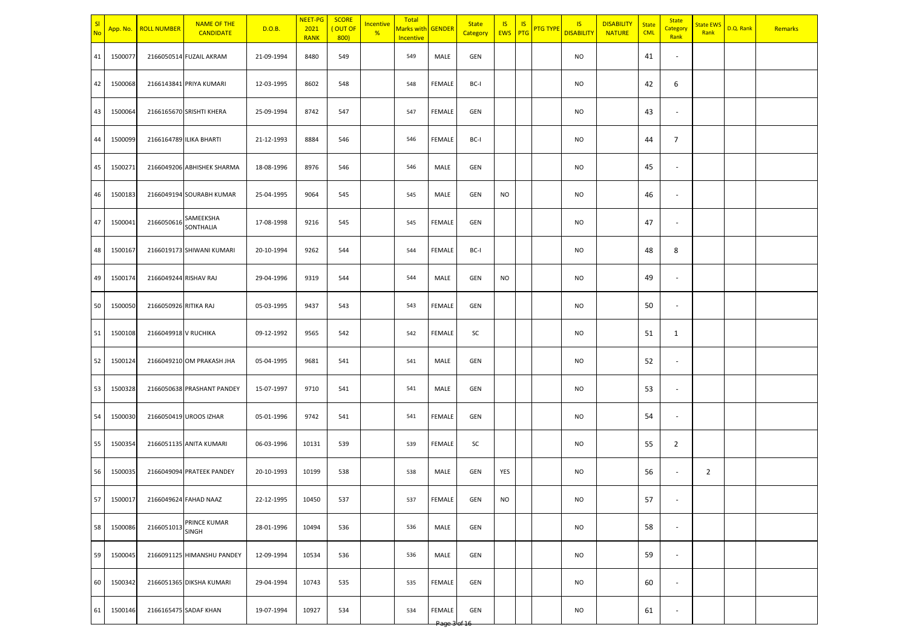| sı<br>No | App. No.   | <b>ROLL NUMBER</b>    | <b>NAME OF THE</b><br><b>CANDIDATE</b> | D.O.B.     | NEET-PG<br>2021<br><b>RANK</b> | <b>SCORE</b><br>(OUT OF<br>800) | <b>Incentive</b><br>% | Total<br>Marks with GENDER<br>Incentive |                        | <b>State</b><br>Category | IS.<br><b>EWS</b> | <b>IS</b><br>PTG | <b>PTG TYPE</b> | <b>IS</b><br><b>DISABILITY</b> | <b>DISABILITY</b><br><b>NATURE</b> | <b>State</b><br><b>CML</b> | <b>State</b><br>Category<br>Rank | <b>State EWS</b><br>Rank | D.Q. Rank | Remarks |
|----------|------------|-----------------------|----------------------------------------|------------|--------------------------------|---------------------------------|-----------------------|-----------------------------------------|------------------------|--------------------------|-------------------|------------------|-----------------|--------------------------------|------------------------------------|----------------------------|----------------------------------|--------------------------|-----------|---------|
| 41       | 1500077    |                       | 2166050514 FUZAIL AKRAM                | 21-09-1994 | 8480                           | 549                             |                       | 549                                     | MALE                   | GEN                      |                   |                  |                 | <b>NO</b>                      |                                    | 41                         | $\sim$                           |                          |           |         |
| 42       | 1500068    |                       | 2166143841 PRIYA KUMARI                | 12-03-1995 | 8602                           | 548                             |                       | 548                                     | FEMALE                 | BC-I                     |                   |                  |                 | <b>NO</b>                      |                                    | 42                         | 6                                |                          |           |         |
| 43       | 1500064    |                       | 2166165670 SRISHTI KHERA               | 25-09-1994 | 8742                           | 547                             |                       | 547                                     | <b>FEMALE</b>          | <b>GEN</b>               |                   |                  |                 | <b>NO</b>                      |                                    | 43                         | $\overline{\phantom{a}}$         |                          |           |         |
| 44       | 1500099    |                       | 2166164789 ILIKA BHARTI                | 21-12-1993 | 8884                           | 546                             |                       | 546                                     | FEMALE                 | BC-I                     |                   |                  |                 | <b>NO</b>                      |                                    | 44                         | $\overline{7}$                   |                          |           |         |
| 45       | 1500271    |                       | 2166049206 ABHISHEK SHARMA             | 18-08-1996 | 8976                           | 546                             |                       | 546                                     | MALE                   | GEN                      |                   |                  |                 | <b>NO</b>                      |                                    | 45                         | $\overline{\phantom{a}}$         |                          |           |         |
| 46       | 1500183    |                       | 2166049194 SOURABH KUMAR               | 25-04-1995 | 9064                           | 545                             |                       | 545                                     | MALE                   | GEN                      | <b>NO</b>         |                  |                 | <b>NO</b>                      |                                    | 46                         | $\overline{\phantom{a}}$         |                          |           |         |
| 47       | 1500041    | 2166050616            | SAMEEKSHA<br>SONTHALIA                 | 17-08-1998 | 9216                           | 545                             |                       | 545                                     | <b>FEMALE</b>          | GEN                      |                   |                  |                 | <b>NO</b>                      |                                    | 47                         | $\overline{\phantom{a}}$         |                          |           |         |
| 48       | 1500167    |                       | 2166019173 SHIWANI KUMARI              | 20-10-1994 | 9262                           | 544                             |                       | 544                                     | FEMALE                 | BC-I                     |                   |                  |                 | <b>NO</b>                      |                                    | 48                         | 8                                |                          |           |         |
| 49       | 1500174    | 2166049244 RISHAV RAJ |                                        | 29-04-1996 | 9319                           | 544                             |                       | 544                                     | MALE                   | GEN                      | <b>NO</b>         |                  |                 | <b>NO</b>                      |                                    | 49                         | $\overline{\phantom{a}}$         |                          |           |         |
| 50       | 1500050    | 2166050926 RITIKA RAJ |                                        | 05-03-1995 | 9437                           | 543                             |                       | 543                                     | FEMALE                 | <b>GEN</b>               |                   |                  |                 | <b>NO</b>                      |                                    | 50                         | $\overline{\phantom{a}}$         |                          |           |         |
| 51       | 1500108    | 2166049918 V RUCHIKA  |                                        | 09-12-1992 | 9565                           | 542                             |                       | 542                                     | FEMALE                 | SC                       |                   |                  |                 | <b>NO</b>                      |                                    | 51                         | $\mathbf{1}$                     |                          |           |         |
| 52       | 1500124    |                       | 2166049210 OM PRAKASH JHA              | 05-04-1995 | 9681                           | 541                             |                       | 541                                     | MALE                   | GEN                      |                   |                  |                 | <b>NO</b>                      |                                    | 52                         | $\overline{\phantom{a}}$         |                          |           |         |
| 53       | 1500328    |                       | 2166050638 PRASHANT PANDEY             | 15-07-1997 | 9710                           | 541                             |                       | 541                                     | MALE                   | GEN                      |                   |                  |                 | <b>NO</b>                      |                                    | 53                         | $\overline{\phantom{a}}$         |                          |           |         |
| 54       | 1500030    |                       | 2166050419 UROOS IZHAR                 | 05-01-1996 | 9742                           | 541                             |                       | 541                                     | <b>FEMALE</b>          | GEN                      |                   |                  |                 | <b>NO</b>                      |                                    | 54                         | $\overline{\phantom{a}}$         |                          |           |         |
| 55       | 1500354    |                       | 2166051135 ANITA KUMARI                | 06-03-1996 | 10131                          | 539                             |                       | 539                                     | <b>FEMALE</b>          | SC                       |                   |                  |                 | <b>NO</b>                      |                                    | 55                         | $\overline{2}$                   |                          |           |         |
| 56       | 1500035    |                       | 2166049094 PRATEEK PANDEY              | 20-10-1993 | 10199                          | 538                             |                       | 538                                     | MALE                   | GEN                      | YES               |                  |                 | <b>NO</b>                      |                                    | 56                         | $\sim$                           | $\overline{2}$           |           |         |
|          | 57 1500017 |                       | 2166049624 FAHAD NAAZ                  | 22-12-1995 | 10450                          | 537                             |                       | 537                                     | FEMALE                 | GEN                      | <b>NO</b>         |                  |                 | <b>NO</b>                      |                                    | 57                         |                                  |                          |           |         |
| 58       | 1500086    |                       | 2166051013 PRINCE KUMAR                | 28-01-1996 | 10494                          | 536                             |                       | 536                                     | MALE                   | GEN                      |                   |                  |                 | <b>NO</b>                      |                                    | 58                         | $\sim$                           |                          |           |         |
| 59       | 1500045    |                       | 2166091125 HIMANSHU PANDEY             | 12-09-1994 | 10534                          | 536                             |                       | 536                                     | MALE                   | GEN                      |                   |                  |                 | <b>NO</b>                      |                                    | 59                         | $\sim$                           |                          |           |         |
| 60       | 1500342    |                       | 2166051365 DIKSHA KUMARI               | 29-04-1994 | 10743                          | 535                             |                       | 535                                     | FEMALE                 | GEN                      |                   |                  |                 | <b>NO</b>                      |                                    | 60                         | $\sim$                           |                          |           |         |
| 61       | 1500146    |                       | 2166165475 SADAF KHAN                  | 19-07-1994 | 10927                          | 534                             |                       | 534                                     | FEMALE<br>Page 3lof 16 | GEN                      |                   |                  |                 | <b>NO</b>                      |                                    | 61                         | $\overline{\phantom{a}}$         |                          |           |         |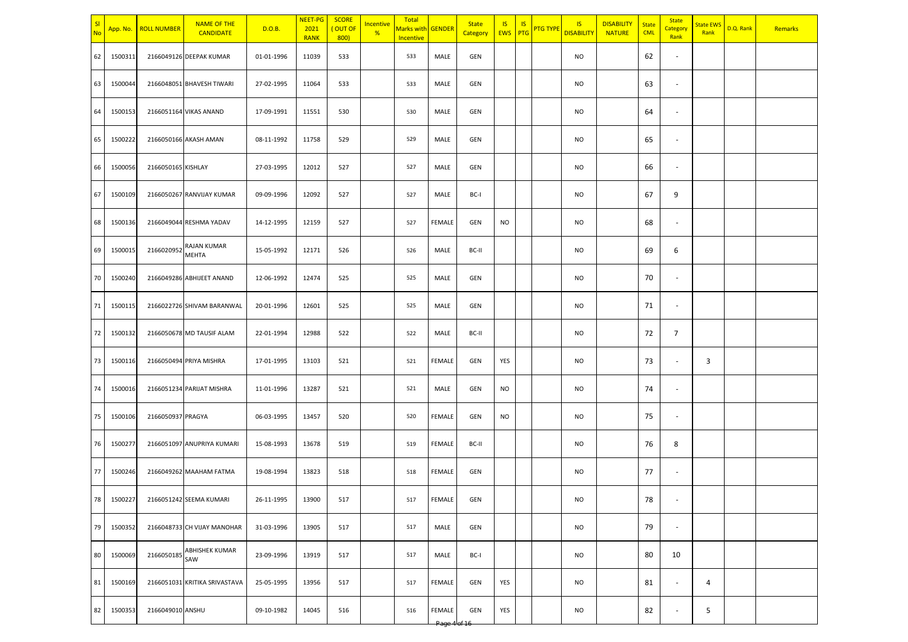| $\vert$ SI<br><b>No</b> | App. No.   | <b>ROLL NUMBER</b> | <b>NAME OF THE</b><br><b>CANDIDATE</b> | D.O.B.     | NEET-PG<br>2021<br><b>RANK</b> | <b>SCORE</b><br>(OUT OF<br>800 | Incentive<br>% | Total<br>Marks with GENDER<br>Incentive |                | <b>State</b><br>Category | <b>IS</b><br><b>EWS</b> PTG | <b>IS</b> | <b>PTG TYPE</b> | $\overline{\mathsf{S}}$<br><b>DISABILITY</b> | <b>DISABILITY</b><br><b>NATURE</b> | <b>State</b><br><b>CML</b> | <b>State</b><br>Category<br>Rank | <b>State EWS</b><br>Rank | D.Q. Rank | Remarks |
|-------------------------|------------|--------------------|----------------------------------------|------------|--------------------------------|--------------------------------|----------------|-----------------------------------------|----------------|--------------------------|-----------------------------|-----------|-----------------|----------------------------------------------|------------------------------------|----------------------------|----------------------------------|--------------------------|-----------|---------|
| 62                      | 1500311    |                    | 2166049126 DEEPAK KUMAR                | 01-01-1996 | 11039                          | 533                            |                | 533                                     | MALE           | GEN                      |                             |           |                 | <b>NO</b>                                    |                                    | 62                         | $\overline{\phantom{a}}$         |                          |           |         |
| 63                      | 1500044    |                    | 2166048051 BHAVESH TIWARI              | 27-02-1995 | 11064                          | 533                            |                | 533                                     | MALE           | GEN                      |                             |           |                 | <b>NO</b>                                    |                                    | 63                         | $\blacksquare$                   |                          |           |         |
| 64                      | 1500153    |                    | 2166051164 VIKAS ANAND                 | 17-09-1991 | 11551                          | 530                            |                | 530                                     | MALE           | GEN                      |                             |           |                 | <b>NO</b>                                    |                                    | 64                         | $\blacksquare$                   |                          |           |         |
| 65                      | 1500222    |                    | 2166050166 AKASH AMAN                  | 08-11-1992 | 11758                          | 529                            |                | 529                                     | MALE           | GEN                      |                             |           |                 | <b>NO</b>                                    |                                    | 65                         | $\sim$                           |                          |           |         |
| 66                      | 1500056    | 2166050165 KISHLAY |                                        | 27-03-1995 | 12012                          | 527                            |                | 527                                     | MALE           | GEN                      |                             |           |                 | <b>NO</b>                                    |                                    | 66                         | $\blacksquare$                   |                          |           |         |
| 67                      | 1500109    |                    | 2166050267 RANVIJAY KUMAR              | 09-09-1996 | 12092                          | 527                            |                | 527                                     | MALE           | BC-I                     |                             |           |                 | <b>NO</b>                                    |                                    | 67                         | 9                                |                          |           |         |
| 68                      | 1500136    |                    | 2166049044 RESHMA YADAV                | 14-12-1995 | 12159                          | 527                            |                | 527                                     | FEMALE         | GEN                      | <b>NO</b>                   |           |                 | <b>NO</b>                                    |                                    | 68                         | $\sim$                           |                          |           |         |
| 69                      | 1500015    | 2166020952         | RAJAN KUMAR<br><b>MEHTA</b>            | 15-05-1992 | 12171                          | 526                            |                | 526                                     | MALE           | BC-II                    |                             |           |                 | <b>NO</b>                                    |                                    | 69                         | 6                                |                          |           |         |
| 70                      | 1500240    |                    | 2166049286 ABHIJEET ANAND              | 12-06-1992 | 12474                          | 525                            |                | 525                                     | MALE           | GEN                      |                             |           |                 | <b>NO</b>                                    |                                    | 70                         | $\blacksquare$                   |                          |           |         |
| 71                      | 1500115    |                    | 2166022726 SHIVAM BARANWAL             | 20-01-1996 | 12601                          | 525                            |                | 525                                     | MALE           | GEN                      |                             |           |                 | <b>NO</b>                                    |                                    | 71                         | $\blacksquare$                   |                          |           |         |
| 72                      | 1500132    |                    | 2166050678 MD TAUSIF ALAM              | 22-01-1994 | 12988                          | 522                            |                | 522                                     | MALE           | BC-II                    |                             |           |                 | <b>NO</b>                                    |                                    | 72                         | $\overline{7}$                   |                          |           |         |
| 73                      | 1500116    |                    | 2166050494 PRIYA MISHRA                | 17-01-1995 | 13103                          | 521                            |                | 521                                     | FEMALE         | GEN                      | YES                         |           |                 | <b>NO</b>                                    |                                    | 73                         | $\blacksquare$                   | 3                        |           |         |
| 74                      | 1500016    |                    | 2166051234 PARIJAT MISHRA              | 11-01-1996 | 13287                          | 521                            |                | 521                                     | MALE           | GEN                      | <b>NO</b>                   |           |                 | <b>NO</b>                                    |                                    | 74                         | $\overline{\phantom{a}}$         |                          |           |         |
| 75                      | 1500106    | 2166050937 PRAGYA  |                                        | 06-03-1995 | 13457                          | 520                            |                | 520                                     | FEMALE         | GEN                      | <b>NO</b>                   |           |                 | <b>NO</b>                                    |                                    | 75                         | $\overline{\phantom{a}}$         |                          |           |         |
| 76                      | 1500277    |                    | 2166051097 ANUPRIYA KUMARI             | 15-08-1993 | 13678                          | 519                            |                | 519                                     | FEMALE         | BC-II                    |                             |           |                 | <b>NO</b>                                    |                                    | 76                         | 8                                |                          |           |         |
| 77                      | 1500246    |                    | 2166049262 MAAHAM FATMA                | 19-08-1994 | 13823                          | 518                            |                | 518                                     | FEMALE         | GEN                      |                             |           |                 | <b>NO</b>                                    |                                    | 77                         | $\overline{\phantom{a}}$         |                          |           |         |
|                         | 78 1500227 |                    | 2166051242 SEEMA KUMARI                | 26-11-1995 | 13900                          | 517                            |                | 517                                     | FEMALE         | GEN                      |                             |           |                 | <b>NO</b>                                    |                                    | 78                         |                                  |                          |           |         |
|                         | 79 1500352 |                    | 2166048733 CH VIJAY MANOHAR            | 31-03-1996 | 13905                          | 517                            |                | 517                                     | MALE           | GEN                      |                             |           |                 | <b>NO</b>                                    |                                    | 79                         | $\sim$                           |                          |           |         |
| 80                      | 1500069    |                    | 2166050185 ABHISHEK KUMAR              | 23-09-1996 | 13919                          | 517                            |                | 517                                     | MALE           | BC-I                     |                             |           |                 | <b>NO</b>                                    |                                    | 80                         | 10                               |                          |           |         |
| 81                      | 1500169    |                    | 2166051031 KRITIKA SRIVASTAVA          | 25-05-1995 | 13956                          | 517                            |                | 517                                     | FEMALE         | GEN                      | YES                         |           |                 | <b>NO</b>                                    |                                    | 81                         | $\sim$                           | $\overline{4}$           |           |         |
| 82                      | 1500353    | 2166049010 ANSHU   |                                        | 09-10-1982 | 14045                          | 516                            |                | 516                                     | FEMALE<br>Page | GEN                      | YES                         |           |                 | <b>NO</b>                                    |                                    | 82                         | $\sim$                           | 5                        |           |         |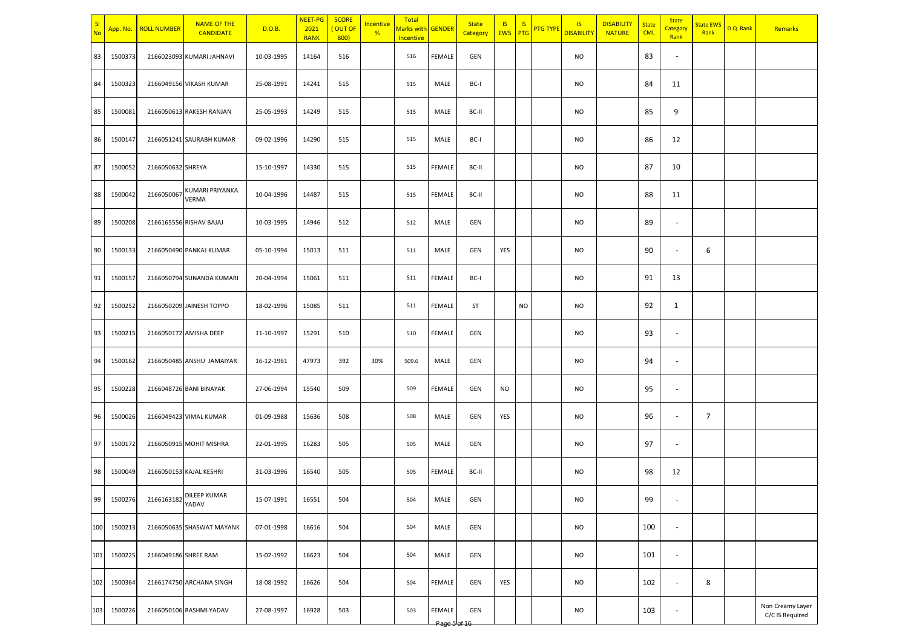| <u>sı</u><br><b>No</b> | App. No. | <b>ROLL NUMBER</b>   | <b>NAME OF THE</b><br><b>CANDIDATE</b> | D.O.B.     | <b>NEET-PG</b><br>2021<br><b>RANK</b> | <b>SCORE</b><br>(OUT OF<br>800) | <b>Incentive</b><br>% | Total<br><mark>Marks with</mark><br>Incentive | GENDER           | <b>State</b><br>Category | <b>IS</b><br><b>EWS</b> PTG | <b>IS</b> | <b>PTG TYPE</b> | <b>IS</b><br><b>DISABILITY</b> | <b>DISABILITY</b><br><b>NATURE</b> | <b>State</b><br><b>CML</b> | <b>State</b><br>Category<br>Rank | <mark>State EWS</mark><br>Rank | D.Q. Rank | Remarks                             |
|------------------------|----------|----------------------|----------------------------------------|------------|---------------------------------------|---------------------------------|-----------------------|-----------------------------------------------|------------------|--------------------------|-----------------------------|-----------|-----------------|--------------------------------|------------------------------------|----------------------------|----------------------------------|--------------------------------|-----------|-------------------------------------|
| 83                     | 1500373  |                      | 2166023093 KUMARI JAHNAVI              | 10-03-1995 | 14164                                 | 516                             |                       | 516                                           | FEMALE           | GEN                      |                             |           |                 | <b>NO</b>                      |                                    | 83                         | $\overline{\phantom{a}}$         |                                |           |                                     |
| 84                     | 1500323  |                      | 2166049156 VIKASH KUMAR                | 25-08-1991 | 14241                                 | 515                             |                       | 515                                           | MALE             | BC-I                     |                             |           |                 | <b>NO</b>                      |                                    | 84                         | 11                               |                                |           |                                     |
| 85                     | 1500081  |                      | 2166050613 RAKESH RANJAN               | 25-05-1993 | 14249                                 | 515                             |                       | 515                                           | MALE             | BC-II                    |                             |           |                 | <b>NO</b>                      |                                    | 85                         | 9                                |                                |           |                                     |
| 86                     | 1500147  |                      | 2166051241 SAURABH KUMAR               | 09-02-1996 | 14290                                 | 515                             |                       | 515                                           | MALE             | BC-I                     |                             |           |                 | <b>NO</b>                      |                                    | 86                         | 12                               |                                |           |                                     |
| 87                     | 1500052  | 2166050632 SHREYA    |                                        | 15-10-1997 | 14330                                 | 515                             |                       | 515                                           | FEMALE           | BC-II                    |                             |           |                 | <b>NO</b>                      |                                    | 87                         | 10                               |                                |           |                                     |
| 88                     | 1500042  | 2166050067           | KUMARI PRIYANKA<br>VERMA               | 10-04-1996 | 14487                                 | 515                             |                       | 515                                           | FEMALE           | BC-II                    |                             |           |                 | <b>NO</b>                      |                                    | 88                         | 11                               |                                |           |                                     |
| 89                     | 1500208  |                      | 2166165556 RISHAV BAJAJ                | 10-03-1995 | 14946                                 | 512                             |                       | 512                                           | MALE             | GEN                      |                             |           |                 | <b>NO</b>                      |                                    | 89                         | $\overline{\phantom{a}}$         |                                |           |                                     |
| 90                     | 1500133  |                      | 2166050490 PANKAJ KUMAR                | 05-10-1994 | 15013                                 | 511                             |                       | 511                                           | MALE             | GEN                      | YES                         |           |                 | <b>NO</b>                      |                                    | 90                         | $\overline{\phantom{a}}$         | 6                              |           |                                     |
| 91                     | 1500157  |                      | 2166050794 SUNANDA KUMARI              | 20-04-1994 | 15061                                 | 511                             |                       | 511                                           | FEMALE           | BC-I                     |                             |           |                 | <b>NO</b>                      |                                    | 91                         | 13                               |                                |           |                                     |
| 92                     | 1500252  |                      | 2166050209 JAINESH TOPPO               | 18-02-1996 | 15085                                 | 511                             |                       | 511                                           | FEMALE           | ST                       |                             | <b>NO</b> |                 | <b>NO</b>                      |                                    | 92                         | 1                                |                                |           |                                     |
| 93                     | 1500215  |                      | 2166050172 AMISHA DEEP                 | 11-10-1997 | 15291                                 | 510                             |                       | 510                                           | <b>FEMALE</b>    | GEN                      |                             |           |                 | <b>NO</b>                      |                                    | 93                         | $\overline{\phantom{a}}$         |                                |           |                                     |
| 94                     | 1500162  |                      | 2166050485 ANSHU JAMAIYAR              | 16-12-1961 | 47973                                 | 392                             | 30%                   | 509.6                                         | MALE             | GEN                      |                             |           |                 | <b>NO</b>                      |                                    | 94                         | $\overline{\phantom{a}}$         |                                |           |                                     |
| 95                     | 1500228  |                      | 2166048726 BANI BINAYAK                | 27-06-1994 | 15540                                 | 509                             |                       | 509                                           | FEMALE           | GEN                      | NO.                         |           |                 | <b>NO</b>                      |                                    | 95                         | $\overline{\phantom{a}}$         |                                |           |                                     |
| 96                     | 1500026  |                      | 2166049423 VIMAL KUMAR                 | 01-09-1988 | 15636                                 | 508                             |                       | 508                                           | MALE             | GEN                      | YES                         |           |                 | <b>NO</b>                      |                                    | 96                         | $\overline{\phantom{a}}$         | 7                              |           |                                     |
| 97                     | 1500172  |                      | 2166050915 MOHIT MISHRA                | 22-01-1995 | 16283                                 | 505                             |                       | 505                                           | MALE             | GEN                      |                             |           |                 | <b>NO</b>                      |                                    | 97                         | $\overline{\phantom{a}}$         |                                |           |                                     |
| 98                     | 1500049  |                      | 2166050153 KAJAL KESHRI                | 31-03-1996 | 16540                                 | 505                             |                       | 505                                           | FEMALE           | BC-II                    |                             |           |                 | <b>NO</b>                      |                                    | 98                         | 12                               |                                |           |                                     |
| 99                     | 1500276  | 2166163182           | DILEEP KUMAR<br>YADAV                  | 15-07-1991 | 16551                                 | 504                             |                       | 504                                           | MALE             | GEN                      |                             |           |                 | <b>NO</b>                      |                                    | 99                         | $\sim$                           |                                |           |                                     |
| 100                    | 1500213  |                      | 2166050635 SHASWAT MAYANK              | 07-01-1998 | 16616                                 | 504                             |                       | 504                                           | MALE             | GEN                      |                             |           |                 | <b>NO</b>                      |                                    | 100                        | $\overline{\phantom{a}}$         |                                |           |                                     |
| 101                    | 1500225  | 2166049186 SHREE RAM |                                        | 15-02-1992 | 16623                                 | 504                             |                       | 504                                           | MALE             | GEN                      |                             |           |                 | <b>NO</b>                      |                                    | 101                        | $\overline{\phantom{a}}$         |                                |           |                                     |
| 102                    | 1500364  |                      | 2166174750 ARCHANA SINGH               | 18-08-1992 | 16626                                 | 504                             |                       | 504                                           | FEMALE           | GEN                      | YES                         |           |                 | <b>NO</b>                      |                                    | 102                        | $\overline{\phantom{a}}$         | 8                              |           |                                     |
| 103                    | 1500226  |                      | 2166050106 RASHMI YADAV                | 27-08-1997 | 16928                                 | 503                             |                       | 503                                           | FEMALE<br>Page b | GEN                      |                             |           |                 | <b>NO</b>                      |                                    | 103                        | $\overline{\phantom{a}}$         |                                |           | Non Creamy Layer<br>C/C IS Required |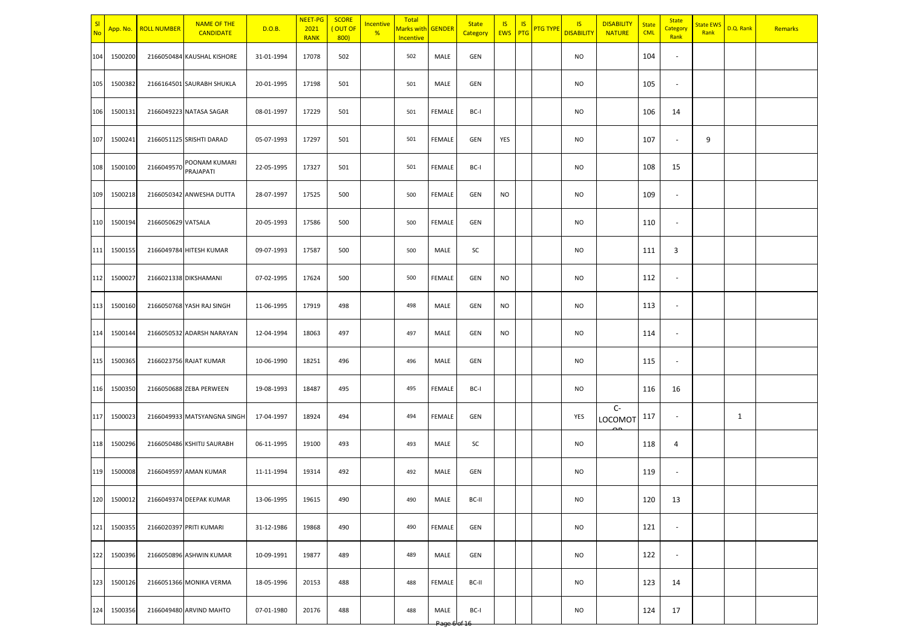| sı<br>No | App. No.    | <b>ROLL NUMBER</b> | <b>NAME OF THE</b><br><b>CANDIDATE</b> | D.O.B.     | NEET-PG<br>2021<br><b>RANK</b> | <b>SCORE</b><br>(OUT OF<br>800 | Incentive<br>% | Total<br>Marks with GENDER<br>Incentive |                | <b>State</b><br>Category | <b>IS</b><br><b>EWS</b> PTG | <b>IS</b> | <b>PTG TYPE</b> | IS<br><b>DISABILITY</b> | <b>DISABILITY</b><br><b>NATURE</b> | <b>State</b><br><b>CML</b> | <b>State</b><br>Category<br>Rank | <b>State EWS</b><br>Rank | D.Q. Rank | Remarks |
|----------|-------------|--------------------|----------------------------------------|------------|--------------------------------|--------------------------------|----------------|-----------------------------------------|----------------|--------------------------|-----------------------------|-----------|-----------------|-------------------------|------------------------------------|----------------------------|----------------------------------|--------------------------|-----------|---------|
| 104      | 1500200     |                    | 2166050484 KAUSHAL KISHORE             | 31-01-1994 | 17078                          | 502                            |                | 502                                     | MALE           | GEN                      |                             |           |                 | <b>NO</b>               |                                    | 104                        | $\sim$                           |                          |           |         |
| 105      | 1500382     |                    | 2166164501 SAURABH SHUKLA              | 20-01-1995 | 17198                          | 501                            |                | 501                                     | MALE           | GEN                      |                             |           |                 | <b>NO</b>               |                                    | 105                        | $\overline{\phantom{a}}$         |                          |           |         |
| 106      | 1500131     |                    | 2166049223 NATASA SAGAR                | 08-01-1997 | 17229                          | 501                            |                | 501                                     | FEMALE         | BC-I                     |                             |           |                 | <b>NO</b>               |                                    | 106                        | 14                               |                          |           |         |
| 107      | 1500241     |                    | 2166051125 SRISHTI DARAD               | 05-07-1993 | 17297                          | 501                            |                | 501                                     | FEMALE         | GEN                      | YES                         |           |                 | <b>NO</b>               |                                    | 107                        | $\sim$                           | 9                        |           |         |
| 108      | 1500100     | 2166049570         | POONAM KUMARI<br>PRAJAPATI             | 22-05-1995 | 17327                          | 501                            |                | 501                                     | FEMALE         | BC-I                     |                             |           |                 | <b>NO</b>               |                                    | 108                        | 15                               |                          |           |         |
| 109      | 1500218     |                    | 2166050342 ANWESHA DUTTA               | 28-07-1997 | 17525                          | 500                            |                | 500                                     | FEMALE         | GEN                      | <b>NO</b>                   |           |                 | <b>NO</b>               |                                    | 109                        | $\overline{\phantom{a}}$         |                          |           |         |
| 110      | 1500194     | 2166050629 VATSALA |                                        | 20-05-1993 | 17586                          | 500                            |                | 500                                     | FEMALE         | GEN                      |                             |           |                 | <b>NO</b>               |                                    | 110                        | $\sim$                           |                          |           |         |
| 111      | 1500155     |                    | 2166049784 HITESH KUMAR                | 09-07-1993 | 17587                          | 500                            |                | 500                                     | MALE           | SC                       |                             |           |                 | <b>NO</b>               |                                    | 111                        | 3                                |                          |           |         |
| 112      | 1500027     |                    | 2166021338 DIKSHAMANI                  | 07-02-1995 | 17624                          | 500                            |                | 500                                     | FEMALE         | GEN                      | <b>NO</b>                   |           |                 | <b>NO</b>               |                                    | 112                        | $\overline{\phantom{a}}$         |                          |           |         |
| 113      | 1500160     |                    | 2166050768 YASH RAJ SINGH              | 11-06-1995 | 17919                          | 498                            |                | 498                                     | MALE           | GEN                      | <b>NO</b>                   |           |                 | <b>NO</b>               |                                    | 113                        | $\sim$                           |                          |           |         |
| 114      | 1500144     |                    | 2166050532 ADARSH NARAYAN              | 12-04-1994 | 18063                          | 497                            |                | 497                                     | MALE           | GEN                      | <b>NO</b>                   |           |                 | <b>NO</b>               |                                    | 114                        | $\overline{\phantom{a}}$         |                          |           |         |
| 115      | 1500365     |                    | 2166023756 RAJAT KUMAR                 | 10-06-1990 | 18251                          | 496                            |                | 496                                     | MALE           | GEN                      |                             |           |                 | <b>NO</b>               |                                    | 115                        | $\sim$                           |                          |           |         |
| 116      | 1500350     |                    | 2166050688 ZEBA PERWEEN                | 19-08-1993 | 18487                          | 495                            |                | 495                                     | FEMALE         | BC-I                     |                             |           |                 | <b>NO</b>               |                                    | 116                        | 16                               |                          |           |         |
| 117      | 1500023     |                    | 2166049933 MATSYANGNA SINGH            | 17-04-1997 | 18924                          | 494                            |                | 494                                     | FEMALE         | GEN                      |                             |           |                 | YES                     | $C-$<br>LOCOMOT                    | 117                        | $\sim$                           |                          | 1         |         |
| 118      | 1500296     |                    | 2166050486 KSHITIJ SAURABH             | 06-11-1995 | 19100                          | 493                            |                | 493                                     | MALE           | SC                       |                             |           |                 | <b>NO</b>               |                                    | 118                        | 4                                |                          |           |         |
| 119      | 1500008     |                    | 2166049597 AMAN KUMAR                  | 11-11-1994 | 19314                          | 492                            |                | 492                                     | MALE           | GEN                      |                             |           |                 | <b>NO</b>               |                                    | 119                        | $\sim$                           |                          |           |         |
|          | 120 1500012 |                    | 2166049374 DEEPAK KUMAR                | 13-06-1995 | 19615                          | 490                            |                | 490                                     | MALE           | BC-II                    |                             |           |                 | <b>NO</b>               |                                    | 120                        | 13                               |                          |           |         |
|          | 121 1500355 |                    | 2166020397 PRITI KUMARI                | 31-12-1986 | 19868                          | 490                            |                | 490                                     | FEMALE         | GEN                      |                             |           |                 | <b>NO</b>               |                                    | 121                        | $\sim$                           |                          |           |         |
| 122      | 1500396     |                    | 2166050896 ASHWIN KUMAR                | 10-09-1991 | 19877                          | 489                            |                | 489                                     | MALE           | GEN                      |                             |           |                 | <b>NO</b>               |                                    | 122                        | $\sim$                           |                          |           |         |
| 123      | 1500126     |                    | 2166051366 MONIKA VERMA                | 18-05-1996 | 20153                          | 488                            |                | 488                                     | FEMALE         | BC-II                    |                             |           |                 | <b>NO</b>               |                                    | 123                        | 14                               |                          |           |         |
| 124      | 1500356     |                    | 2166049480 ARVIND MAHTO                | 07-01-1980 | 20176                          | 488                            |                | 488                                     | MALE<br>Page 6 | BC-I                     |                             |           |                 | <b>NO</b>               |                                    | 124                        | 17                               |                          |           |         |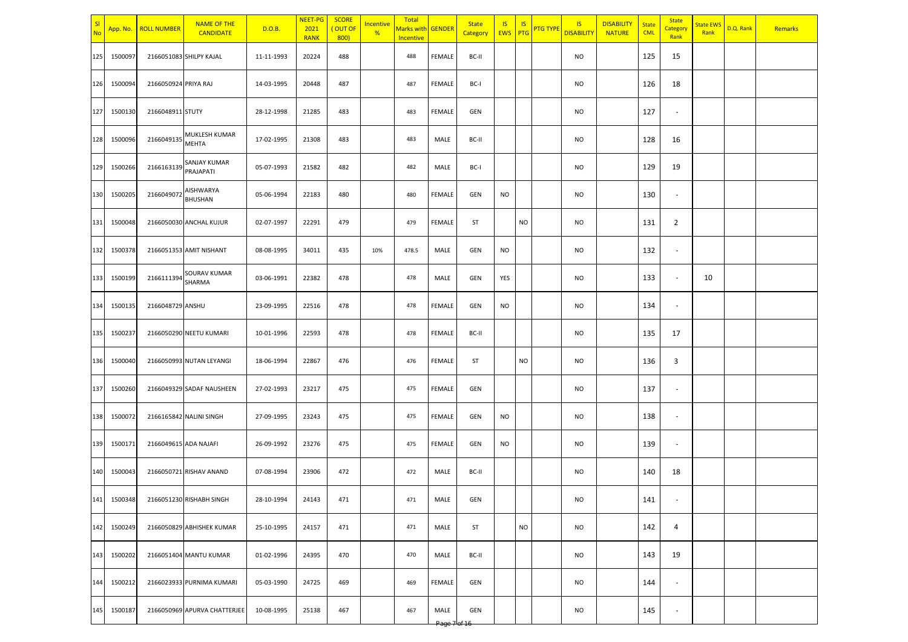| sı<br>No | App. No.    | <b>ROLL NUMBER</b>    | <b>NAME OF THE</b><br><b>CANDIDATE</b> | D.O.B.     | NEET-PG<br>2021<br><b>RANK</b> | <b>SCORE</b><br>(OUT OF<br>800 | Incentive<br>% | Total<br>Marks with GENDER<br>Incentive |                                | <b>State</b><br>Category | <b>IS</b><br><b>EWS</b> PTG | IS        | <b>PTG TYPE</b> | IS<br><b>DISABILITY</b> | <b>DISABILITY</b><br><b>NATURE</b> | <b>State</b><br><b>CML</b> | <b>State</b><br>Category<br>Rank | <b>State EWS</b><br>Rank | D.Q. Rank | Remarks |
|----------|-------------|-----------------------|----------------------------------------|------------|--------------------------------|--------------------------------|----------------|-----------------------------------------|--------------------------------|--------------------------|-----------------------------|-----------|-----------------|-------------------------|------------------------------------|----------------------------|----------------------------------|--------------------------|-----------|---------|
| 125      | 1500097     |                       | 2166051083 SHILPY KAJAL                | 11-11-1993 | 20224                          | 488                            |                | 488                                     | FEMALE                         | BC-II                    |                             |           |                 | <b>NO</b>               |                                    | 125                        | 15                               |                          |           |         |
| 126      | 1500094     | 2166050924 PRIYA RAJ  |                                        | 14-03-1995 | 20448                          | 487                            |                | 487                                     | FEMALE                         | BC-I                     |                             |           |                 | <b>NO</b>               |                                    | 126                        | 18                               |                          |           |         |
| 127      | 1500130     | 2166048911 STUTY      |                                        | 28-12-1998 | 21285                          | 483                            |                | 483                                     | FEMALE                         | <b>GEN</b>               |                             |           |                 | <b>NO</b>               |                                    | 127                        | $\sim$                           |                          |           |         |
| 128      | 1500096     | 2166049135            | MUKLESH KUMAR<br>MEHTA                 | 17-02-1995 | 21308                          | 483                            |                | 483                                     | MALE                           | BC-II                    |                             |           |                 | <b>NO</b>               |                                    | 128                        | 16                               |                          |           |         |
| 129      | 1500266     | 2166163139            | SANJAY KUMAR<br>PRAJAPATI              | 05-07-1993 | 21582                          | 482                            |                | 482                                     | MALE                           | BC-I                     |                             |           |                 | <b>NO</b>               |                                    | 129                        | 19                               |                          |           |         |
| 130      | 1500205     | 2166049072            | AISHWARYA<br>BHUSHAN                   | 05-06-1994 | 22183                          | 480                            |                | 480                                     | FEMALE                         | GEN                      | <b>NO</b>                   |           |                 | <b>NO</b>               |                                    | 130                        | $\overline{\phantom{a}}$         |                          |           |         |
| 131      | 1500048     |                       | 2166050030 ANCHAL KUJUR                | 02-07-1997 | 22291                          | 479                            |                | 479                                     | FEMALE                         | ST                       |                             | <b>NO</b> |                 | <b>NO</b>               |                                    | 131                        | $\overline{2}$                   |                          |           |         |
| 132      | 1500378     |                       | 2166051353 AMIT NISHANT                | 08-08-1995 | 34011                          | 435                            | 10%            | 478.5                                   | MALE                           | GEN                      | <b>NO</b>                   |           |                 | <b>NO</b>               |                                    | 132                        | $\sim$                           |                          |           |         |
| 133      | 1500199     | 2166111394            | SOURAV KUMAR<br>SHARMA                 | 03-06-1991 | 22382                          | 478                            |                | 478                                     | MALE                           | GEN                      | YES                         |           |                 | <b>NO</b>               |                                    | 133                        | $\overline{\phantom{a}}$         | 10                       |           |         |
| 134      | 1500135     | 2166048729 ANSHU      |                                        | 23-09-1995 | 22516                          | 478                            |                | 478                                     | FEMALE                         | <b>GEN</b>               | <b>NO</b>                   |           |                 | <b>NO</b>               |                                    | 134                        | $\sim$                           |                          |           |         |
| 135      | 1500237     |                       | 2166050290 NEETU KUMARI                | 10-01-1996 | 22593                          | 478                            |                | 478                                     | FEMALE                         | BC-II                    |                             |           |                 | <b>NO</b>               |                                    | 135                        | 17                               |                          |           |         |
| 136      | 1500040     |                       | 2166050993 NUTAN LEYANGI               | 18-06-1994 | 22867                          | 476                            |                | 476                                     | FEMALE                         | ST                       |                             | <b>NO</b> |                 | <b>NO</b>               |                                    | 136                        | 3                                |                          |           |         |
| 137      | 1500260     |                       | 2166049329 SADAF NAUSHEEN              | 27-02-1993 | 23217                          | 475                            |                | 475                                     | FEMALE                         | GEN                      |                             |           |                 | <b>NO</b>               |                                    | 137                        | $\overline{\phantom{a}}$         |                          |           |         |
| 138      | 1500072     |                       | 2166165842 NALINI SINGH                | 27-09-1995 | 23243                          | 475                            |                | 475                                     | FEMALE                         | GEN                      | <b>NO</b>                   |           |                 | <b>NO</b>               |                                    | 138                        | $\sim$                           |                          |           |         |
| 139      | 1500171     | 2166049615 ADA NAJAFI |                                        | 26-09-1992 | 23276                          | 475                            |                | 475                                     | FEMALE                         | GEN                      | <b>NO</b>                   |           |                 | <b>NO</b>               |                                    | 139                        | $\sim$                           |                          |           |         |
| 140      | 1500043     |                       | 2166050721 RISHAV ANAND                | 07-08-1994 | 23906                          | 472                            |                | 472                                     | MALE                           | BC-II                    |                             |           |                 | <b>NO</b>               |                                    | 140                        | 18                               |                          |           |         |
|          | 141 1500348 |                       | 2166051230 RISHABH SINGH               | 28-10-1994 | 24143                          | 471                            |                | 471                                     | MALE                           | GEN                      |                             |           |                 | <b>NO</b>               |                                    | 141                        |                                  |                          |           |         |
|          | 142 1500249 |                       | 2166050829 ABHISHEK KUMAR              | 25-10-1995 | 24157                          | 471                            |                | 471                                     | MALE                           | ST                       |                             | <b>NO</b> |                 | <b>NO</b>               |                                    | 142                        | $\overline{4}$                   |                          |           |         |
| 143      | 1500202     |                       | 2166051404 MANTU KUMAR                 | 01-02-1996 | 24395                          | 470                            |                | 470                                     | MALE                           | BC-II                    |                             |           |                 | <b>NO</b>               |                                    | 143                        | 19                               |                          |           |         |
| 144      | 1500212     |                       | 2166023933 PURNIMA KUMARI              | 05-03-1990 | 24725                          | 469                            |                | 469                                     | FEMALE                         | GEN                      |                             |           |                 | <b>NO</b>               |                                    | 144                        | $\overline{\phantom{a}}$         |                          |           |         |
| 145      | 1500187     |                       | 2166050969 APURVA CHATTERJEE           | 10-08-1995 | 25138                          | 467                            |                | 467                                     | MALE<br><del>Page 7 of 1</del> | GEN                      |                             |           |                 | <b>NO</b>               |                                    | 145                        | $\sim$                           |                          |           |         |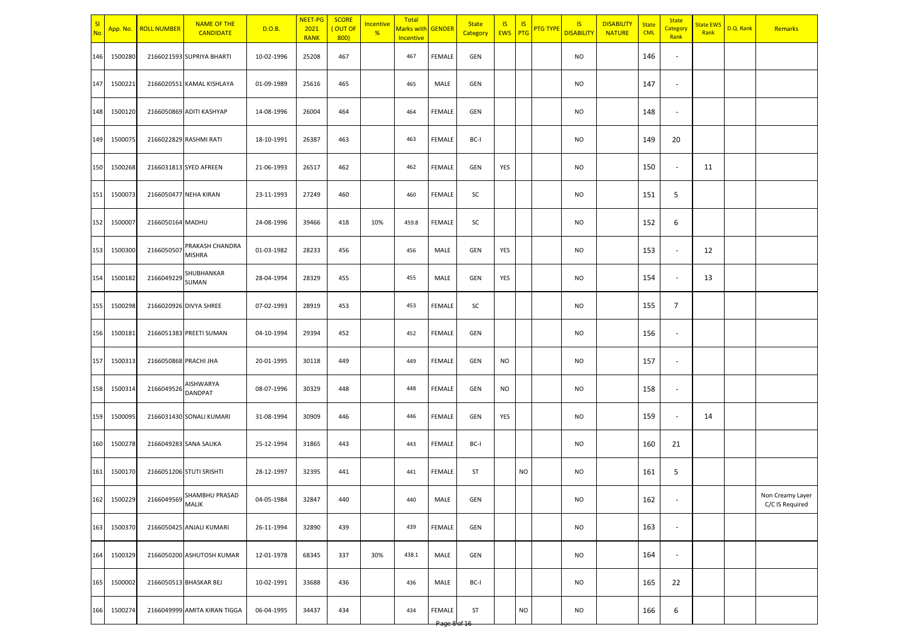| SI<br><b>No</b> | App. No.    | <b>ROLL NUMBER</b>    | <b>NAME OF THE</b><br><b>CANDIDATE</b> | D.O.B.     | NEET-PG<br>2021<br><b>RANK</b> | <b>SCORE</b><br>(OUT OF<br>800) | <b>Incentive</b><br>% | Total<br>Marks with GENDER<br>Incentive |                                       | <b>State</b><br>Category | IS<br>EWS PTG | <b>IS</b> | <b>PTG TYPE</b> | <b>IS</b><br><b>DISABILITY</b> | <b>DISABILITY</b><br><b>NATURE</b> | <b>State</b><br><b>CML</b> | <b>State</b><br>Category<br>Rank | <b>State EWS</b><br>Rank | D.Q. Rank | Remarks                             |
|-----------------|-------------|-----------------------|----------------------------------------|------------|--------------------------------|---------------------------------|-----------------------|-----------------------------------------|---------------------------------------|--------------------------|---------------|-----------|-----------------|--------------------------------|------------------------------------|----------------------------|----------------------------------|--------------------------|-----------|-------------------------------------|
| 146             | 1500280     |                       | 2166021593 SUPRIYA BHARTI              | 10-02-1996 | 25208                          | 467                             |                       | 467                                     | <b>FEMALE</b>                         | GEN                      |               |           |                 | <b>NO</b>                      |                                    | 146                        | $\overline{\phantom{a}}$         |                          |           |                                     |
| 147             | 1500221     |                       | 2166020551 KAMAL KISHLAYA              | 01-09-1989 | 25616                          | 465                             |                       | 465                                     | MALE                                  | GEN                      |               |           |                 | <b>NO</b>                      |                                    | 147                        | $\overline{\phantom{a}}$         |                          |           |                                     |
| 148             | 1500120     |                       | 2166050869 ADITI KASHYAP               | 14-08-1996 | 26004                          | 464                             |                       | 464                                     | <b>FEMALE</b>                         | GEN                      |               |           |                 | <b>NO</b>                      |                                    | 148                        | $\overline{\phantom{a}}$         |                          |           |                                     |
| 149             | 1500075     |                       | 2166022829 RASHMI RATI                 | 18-10-1991 | 26387                          | 463                             |                       | 463                                     | <b>FEMALE</b>                         | BC-I                     |               |           |                 | <b>NO</b>                      |                                    | 149                        | 20                               |                          |           |                                     |
| 150             | 1500268     |                       | 2166031813 SYED AFREEN                 | 21-06-1993 | 26517                          | 462                             |                       | 462                                     | <b>FEMALE</b>                         | GEN                      | YES           |           |                 | <b>NO</b>                      |                                    | 150                        | $\overline{\phantom{a}}$         | 11                       |           |                                     |
| 151             | 1500073     |                       | 2166050477 NEHA KIRAN                  | 23-11-1993 | 27249                          | 460                             |                       | 460                                     | <b>FEMALE</b>                         | SC                       |               |           |                 | <b>NO</b>                      |                                    | 151                        | 5                                |                          |           |                                     |
| 152             | 1500007     | 2166050164 MADHU      |                                        | 24-08-1996 | 39466                          | 418                             | 10%                   | 459.8                                   | <b>FEMALE</b>                         | SC                       |               |           |                 | <b>NO</b>                      |                                    | 152                        | 6                                |                          |           |                                     |
| 153             | 1500300     | 2166050507            | PRAKASH CHANDRA<br><b>MISHRA</b>       | 01-03-1982 | 28233                          | 456                             |                       | 456                                     | MALE                                  | GEN                      | YES           |           |                 | <b>NO</b>                      |                                    | 153                        | $\overline{\phantom{a}}$         | 12                       |           |                                     |
| 154             | 1500182     | 2166049229            | SHUBHANKAR<br>SUMAN                    | 28-04-1994 | 28329                          | 455                             |                       | 455                                     | MALE                                  | GEN                      | YES           |           |                 | <b>NO</b>                      |                                    | 154                        | $\sim$                           | 13                       |           |                                     |
| 155             | 1500298     |                       | 2166020926 DIVYA SHREE                 | 07-02-1993 | 28919                          | 453                             |                       | 453                                     | <b>FEMALE</b>                         | SC                       |               |           |                 | <b>NO</b>                      |                                    | 155                        | $\overline{7}$                   |                          |           |                                     |
| 156             | 1500181     |                       | 2166051383 PREETI SUMAN                | 04-10-1994 | 29394                          | 452                             |                       | 452                                     | <b>FEMALE</b>                         | GEN                      |               |           |                 | <b>NO</b>                      |                                    | 156                        | $\overline{\phantom{a}}$         |                          |           |                                     |
| 157             | 1500313     | 2166050868 PRACHI JHA |                                        | 20-01-1995 | 30118                          | 449                             |                       | 449                                     | <b>FEMALE</b>                         | GEN                      | <b>NO</b>     |           |                 | <b>NO</b>                      |                                    | 157                        | $\overline{\phantom{a}}$         |                          |           |                                     |
| 158             | 1500314     | 2166049526            | AISHWARYA<br>DANDPAT                   | 08-07-1996 | 30329                          | 448                             |                       | 448                                     | <b>FEMALE</b>                         | GEN                      | <b>NO</b>     |           |                 | <b>NO</b>                      |                                    | 158                        | $\overline{\phantom{a}}$         |                          |           |                                     |
| 159             | 1500095     |                       | 2166031430 SONALI KUMARI               | 31-08-1994 | 30909                          | 446                             |                       | 446                                     | FEMALE                                | GEN                      | YES           |           |                 | <b>NO</b>                      |                                    | 159                        | $\overline{\phantom{a}}$         | 14                       |           |                                     |
| 160             | 1500278     |                       | 2166049283 SANA SALIKA                 | 25-12-1994 | 31865                          | 443                             |                       | 443                                     | <b>FEMALE</b>                         | BC-I                     |               |           |                 | <b>NO</b>                      |                                    | 160                        | 21                               |                          |           |                                     |
| 161             | 1500170     |                       | 2166051206 STUTI SRISHTI               | 28-12-1997 | 32395                          | 441                             |                       | 441                                     | <b>FEMALE</b>                         | ST                       |               | <b>NO</b> |                 | <b>NO</b>                      |                                    | 161                        | 5                                |                          |           |                                     |
|                 | 162 1500229 |                       | 2166049569 SHAMBHU PRASAD              | 04-05-1984 | 32847                          | 440                             |                       | 440                                     | MALE                                  | GEN                      |               |           |                 | <b>NO</b>                      |                                    | 162                        |                                  |                          |           | Non Creamy Layer<br>C/C IS Required |
| 163             | 1500370     |                       | 2166050425 ANJALI KUMARI               | 26-11-1994 | 32890                          | 439                             |                       | 439                                     | FEMALE                                | GEN                      |               |           |                 | <b>NO</b>                      |                                    | 163                        | $\overline{\phantom{a}}$         |                          |           |                                     |
| 164             | 1500329     |                       | 2166050200 ASHUTOSH KUMAR              | 12-01-1978 | 68345                          | 337                             | 30%                   | 438.1                                   | MALE                                  | GEN                      |               |           |                 | <b>NO</b>                      |                                    | 164                        | $\sim$                           |                          |           |                                     |
| 165             | 1500002     |                       | 2166050513 BHASKAR BEJ                 | 10-02-1991 | 33688                          | 436                             |                       | 436                                     | MALE                                  | BC-I                     |               |           |                 | <b>NO</b>                      |                                    | 165                        | 22                               |                          |           |                                     |
| 166             | 1500274     |                       | 2166049999 AMITA KIRAN TIGGA           | 06-04-1995 | 34437                          | 434                             |                       | 434                                     | <b>FEMALE</b><br>Page 8 <sup>le</sup> | ST                       |               | <b>NO</b> |                 | <b>NO</b>                      |                                    | 166                        | 6                                |                          |           |                                     |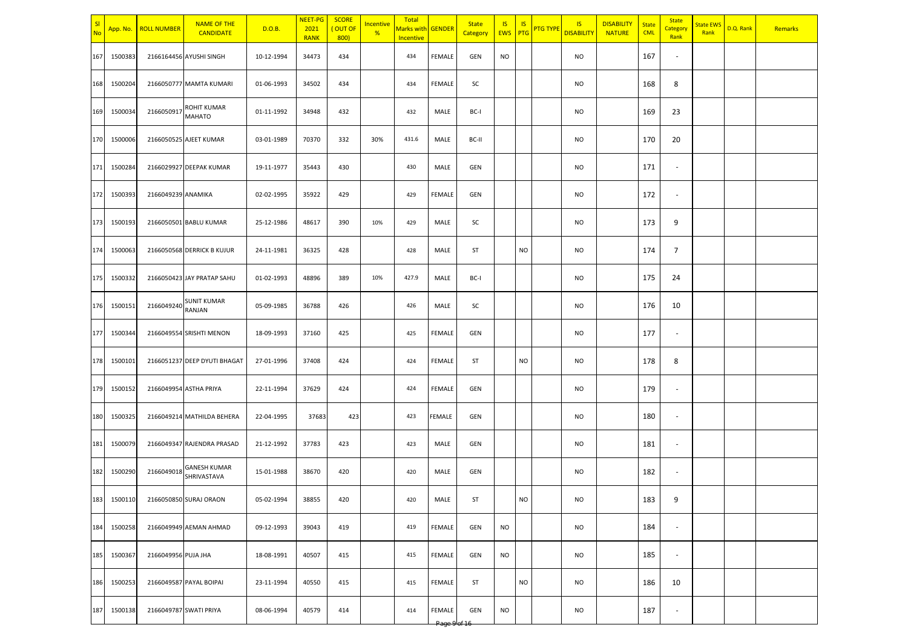| SI<br><b>No</b> | App. No.    | <b>ROLL NUMBER</b>  | <b>NAME OF THE</b><br><b>CANDIDATE</b> | D.O.B.     | NEET-PG<br>2021<br><b>RANK</b> | <b>SCORE</b><br>(OUT OF<br>800 | Incentive<br>% | Total<br>Marks with GENDER<br>Incentive |        | <b>State</b><br>Category | <b>IS</b><br><b>EWS</b> PTG | <b>IS</b> | <b>PTG TYPE</b> | <b>IS</b><br><b>DISABILITY</b> | <b>DISABILITY</b><br><b>NATURE</b> | <b>State</b><br><b>CML</b> | <b>State</b><br>Category<br>Rank | <b>State EWS</b><br>Rank | D.Q. Rank | Remarks |
|-----------------|-------------|---------------------|----------------------------------------|------------|--------------------------------|--------------------------------|----------------|-----------------------------------------|--------|--------------------------|-----------------------------|-----------|-----------------|--------------------------------|------------------------------------|----------------------------|----------------------------------|--------------------------|-----------|---------|
| 167             | 1500383     |                     | 2166164456 AYUSHI SINGH                | 10-12-1994 | 34473                          | 434                            |                | 434                                     | FEMALE | GEN                      | <b>NO</b>                   |           |                 | <b>NO</b>                      |                                    | 167                        | $\overline{\phantom{a}}$         |                          |           |         |
| 168             | 1500204     |                     | 2166050777 MAMTA KUMARI                | 01-06-1993 | 34502                          | 434                            |                | 434                                     | FEMALE | SC                       |                             |           |                 | <b>NO</b>                      |                                    | 168                        | 8                                |                          |           |         |
| 169             | 1500034     | 2166050917          | ROHIT KUMAR<br><b>MAHATO</b>           | 01-11-1992 | 34948                          | 432                            |                | 432                                     | MALE   | BC-I                     |                             |           |                 | <b>NO</b>                      |                                    | 169                        | 23                               |                          |           |         |
| 170             | 1500006     |                     | 2166050525 AJEET KUMAR                 | 03-01-1989 | 70370                          | 332                            | 30%            | 431.6                                   | MALE   | BC-II                    |                             |           |                 | <b>NO</b>                      |                                    | 170                        | 20                               |                          |           |         |
| 171             | 1500284     |                     | 2166029927 DEEPAK KUMAR                | 19-11-1977 | 35443                          | 430                            |                | 430                                     | MALE   | GEN                      |                             |           |                 | <b>NO</b>                      |                                    | 171                        | $\blacksquare$                   |                          |           |         |
| 172             | 1500393     | 2166049239 ANAMIKA  |                                        | 02-02-1995 | 35922                          | 429                            |                | 429                                     | FEMALE | <b>GEN</b>               |                             |           |                 | <b>NO</b>                      |                                    | 172                        | $\overline{\phantom{a}}$         |                          |           |         |
| 173             | 1500193     |                     | 2166050501 BABLU KUMAR                 | 25-12-1986 | 48617                          | 390                            | 10%            | 429                                     | MALE   | SC                       |                             |           |                 | <b>NO</b>                      |                                    | 173                        | 9                                |                          |           |         |
| 174             | 1500063     |                     | 2166050568 DERRICK B KUJUR             | 24-11-1981 | 36325                          | 428                            |                | 428                                     | MALE   | ST                       |                             | <b>NO</b> |                 | <b>NO</b>                      |                                    | 174                        | $\overline{7}$                   |                          |           |         |
| 175             | 1500332     |                     | 2166050423 JAY PRATAP SAHU             | 01-02-1993 | 48896                          | 389                            | 10%            | 427.9                                   | MALE   | BC-I                     |                             |           |                 | <b>NO</b>                      |                                    | 175                        | 24                               |                          |           |         |
| 176             | 1500151     | 2166049240          | <b>SUNIT KUMAR</b><br>RANJAN           | 05-09-1985 | 36788                          | 426                            |                | 426                                     | MALE   | SC                       |                             |           |                 | <b>NO</b>                      |                                    | 176                        | 10                               |                          |           |         |
| 177             | 1500344     |                     | 2166049554 SRISHTI MENON               | 18-09-1993 | 37160                          | 425                            |                | 425                                     | FEMALE | GEN                      |                             |           |                 | <b>NO</b>                      |                                    | 177                        | $\sim$                           |                          |           |         |
| 178             | 1500101     |                     | 2166051237 DEEP DYUTI BHAGAT           | 27-01-1996 | 37408                          | 424                            |                | 424                                     | FEMALE | ST                       |                             | <b>NO</b> |                 | <b>NO</b>                      |                                    | 178                        | 8                                |                          |           |         |
| 179             | 1500152     |                     | 2166049954 ASTHA PRIYA                 | 22-11-1994 | 37629                          | 424                            |                | 424                                     | FEMALE | <b>GEN</b>               |                             |           |                 | <b>NO</b>                      |                                    | 179                        | $\sim$                           |                          |           |         |
| 180             | 1500325     |                     | 2166049214 MATHILDA BEHERA             | 22-04-1995 | 37683                          | 423                            |                | 423                                     | FEMALE | GEN                      |                             |           |                 | <b>NO</b>                      |                                    | 180                        | $\sim$                           |                          |           |         |
| 181             | 1500079     |                     | 2166049347 RAJENDRA PRASAD             | 21-12-1992 | 37783                          | 423                            |                | 423                                     | MALE   | GEN                      |                             |           |                 | <b>NO</b>                      |                                    | 181                        | $\overline{\phantom{a}}$         |                          |           |         |
| 182             | 1500290     | 2166049018          | <b>GANESH KUMAR</b><br>SHRIVASTAVA     | 15-01-1988 | 38670                          | 420                            |                | 420                                     | MALE   | GEN                      |                             |           |                 | <b>NO</b>                      |                                    | 182                        | $\overline{\phantom{a}}$         |                          |           |         |
|                 | 183 1500110 |                     | 2166050850 SURAJ ORAON                 | 05-02-1994 | 38855                          | 420                            |                | 420                                     | MALE   | ST                       |                             | <b>NO</b> |                 | <b>NO</b>                      |                                    | 183                        | 9                                |                          |           |         |
|                 | 184 1500258 |                     | 2166049949 AEMAN AHMAD                 | 09-12-1993 | 39043                          | 419                            |                | 419                                     | FEMALE | GEN                      | <b>NO</b>                   |           |                 | <b>NO</b>                      |                                    | 184                        | $\sim$                           |                          |           |         |
| 185             | 1500367     | 2166049956 PUJA JHA |                                        | 18-08-1991 | 40507                          | 415                            |                | 415                                     | FEMALE | GEN                      | <b>NO</b>                   |           |                 | <b>NO</b>                      |                                    | 185                        | $\sim$                           |                          |           |         |
| 186             | 1500253     |                     | 2166049587 PAYAL BOIPAI                | 23-11-1994 | 40550                          | 415                            |                | 415                                     | FEMALE | ST                       |                             | <b>NO</b> |                 | <b>NO</b>                      |                                    | 186                        | 10                               |                          |           |         |
| 187             | 1500138     |                     | 2166049787 SWATI PRIYA                 | 08-06-1994 | 40579                          | 414                            |                | 414                                     | FEMALE | GEN                      | <b>NO</b>                   |           |                 | <b>NO</b>                      |                                    | 187                        | $\overline{\phantom{a}}$         |                          |           |         |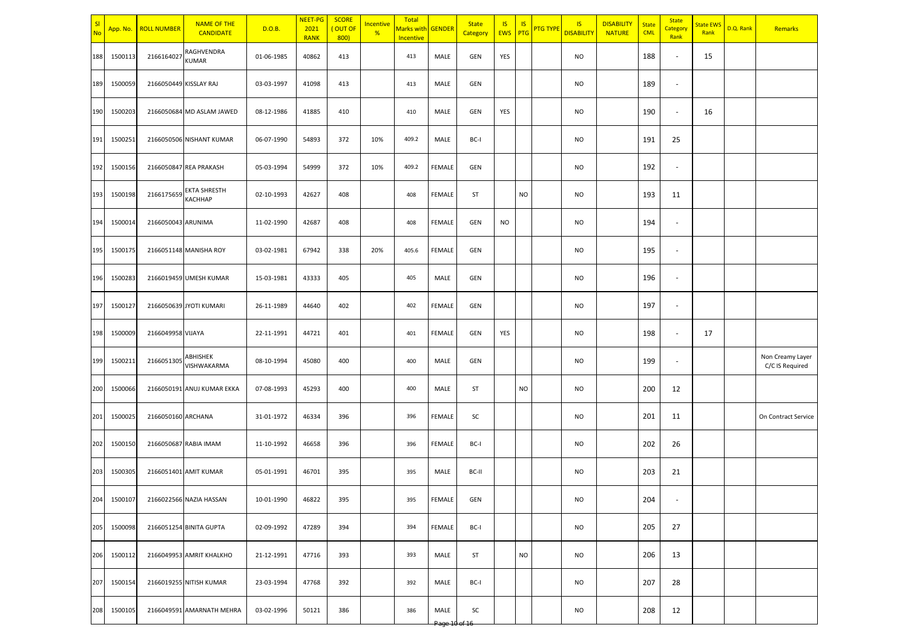| No  | App. No.    | <b>ROLL NUMBER</b>     | <b>NAME OF THE</b><br><b>CANDIDATE</b> | D.O.B.     | <b>NEET-PG</b><br>2021<br><b>RANK</b> | <b>SCORE</b><br>OUT OF<br>800 | Incentive<br>% | Total<br>Marks with GENDER<br>Incentive |                 | <b>State</b><br>Category | <b>IS</b><br><b>EWS</b> | <b>IS</b><br>PTG | <b>PTG TYPE</b> | <b>IS</b><br><b>DISABILITY</b> | <b>DISABILITY</b><br><b>NATURE</b> | <b>State</b><br><b>CML</b> | <b>State</b><br>Category<br>Rank | <b>State EWS</b><br>Rank | D.Q. Rank | Remarks                             |
|-----|-------------|------------------------|----------------------------------------|------------|---------------------------------------|-------------------------------|----------------|-----------------------------------------|-----------------|--------------------------|-------------------------|------------------|-----------------|--------------------------------|------------------------------------|----------------------------|----------------------------------|--------------------------|-----------|-------------------------------------|
| 188 | 1500113     | 2166164027             | RAGHVENDRA<br>KUMAR                    | 01-06-1985 | 40862                                 | 413                           |                | 413                                     | MALE            | GEN                      | YES                     |                  |                 | <b>NO</b>                      |                                    | 188                        | $\sim$                           | 15                       |           |                                     |
| 189 | 1500059     | 2166050449 KISSLAY RAJ |                                        | 03-03-1997 | 41098                                 | 413                           |                | 413                                     | MALE            | GEN                      |                         |                  |                 | <b>NO</b>                      |                                    | 189                        | $\overline{\phantom{a}}$         |                          |           |                                     |
| 190 | 1500203     |                        | 2166050684 MD ASLAM JAWED              | 08-12-1986 | 41885                                 | 410                           |                | 410                                     | MALE            | GEN                      | YES                     |                  |                 | <b>NO</b>                      |                                    | 190                        | $\overline{\phantom{a}}$         | 16                       |           |                                     |
| 191 | 1500251     |                        | 2166050506 NISHANT KUMAR               | 06-07-1990 | 54893                                 | 372                           | 10%            | 409.2                                   | MALE            | BC-I                     |                         |                  |                 | <b>NO</b>                      |                                    | 191                        | 25                               |                          |           |                                     |
| 192 | 1500156     |                        | 2166050847 REA PRAKASH                 | 05-03-1994 | 54999                                 | 372                           | 10%            | 409.2                                   | <b>FEMALE</b>   | <b>GEN</b>               |                         |                  |                 | <b>NO</b>                      |                                    | 192                        | $\overline{\phantom{a}}$         |                          |           |                                     |
| 193 | 1500198     | 2166175659             | EKTA SHRESTH<br>KACHHAP                | 02-10-1993 | 42627                                 | 408                           |                | 408                                     | FEMALE          | ST                       |                         | <b>NO</b>        |                 | NO                             |                                    | 193                        | 11                               |                          |           |                                     |
| 194 | 1500014     | 2166050043 ARUNIMA     |                                        | 11-02-1990 | 42687                                 | 408                           |                | 408                                     | <b>FEMALE</b>   | GEN                      | <b>NO</b>               |                  |                 | <b>NO</b>                      |                                    | 194                        | $\sim$                           |                          |           |                                     |
| 195 | 1500175     |                        | 2166051148 MANISHA ROY                 | 03-02-1981 | 67942                                 | 338                           | 20%            | 405.6                                   | FEMALE          | GEN                      |                         |                  |                 | <b>NO</b>                      |                                    | 195                        | $\overline{\phantom{a}}$         |                          |           |                                     |
| 196 | 1500283     |                        | 2166019459 UMESH KUMAR                 | 15-03-1981 | 43333                                 | 405                           |                | 405                                     | MALE            | GEN                      |                         |                  |                 | <b>NO</b>                      |                                    | 196                        | $\overline{\phantom{a}}$         |                          |           |                                     |
| 197 | 1500127     |                        | 2166050639 JYOTI KUMARI                | 26-11-1989 | 44640                                 | 402                           |                | 402                                     | FEMALE          | GEN                      |                         |                  |                 | <b>NO</b>                      |                                    | 197                        | $\overline{\phantom{a}}$         |                          |           |                                     |
| 198 | 1500009     | 2166049958 VIJAYA      |                                        | 22-11-1991 | 44721                                 | 401                           |                | 401                                     | FEMALE          | GEN                      | YES                     |                  |                 | <b>NO</b>                      |                                    | 198                        | $\overline{\phantom{a}}$         | 17                       |           |                                     |
| 199 | 1500211     | 2166051305             | ABHISHEK<br>VISHWAKARMA                | 08-10-1994 | 45080                                 | 400                           |                | 400                                     | MALE            | GEN                      |                         |                  |                 | <b>NO</b>                      |                                    | 199                        | $\overline{\phantom{a}}$         |                          |           | Non Creamy Layer<br>C/C IS Required |
| 200 | 1500066     |                        | 2166050191 ANUJ KUMAR EKKA             | 07-08-1993 | 45293                                 | 400                           |                | 400                                     | MALE            | ST                       |                         | NO               |                 | NO                             |                                    | 200                        | 12                               |                          |           |                                     |
| 201 | 1500025     | 2166050160 ARCHANA     |                                        | 31-01-1972 | 46334                                 | 396                           |                | 396                                     | FEMALE          | SC                       |                         |                  |                 | <b>NO</b>                      |                                    | 201                        | 11                               |                          |           | On Contract Service                 |
| 202 | 1500150     |                        | 2166050687 RABIA IMAM                  | 11-10-1992 | 46658                                 | 396                           |                | 396                                     | <b>FEMALE</b>   | BC-I                     |                         |                  |                 | <b>NO</b>                      |                                    | 202                        | 26                               |                          |           |                                     |
| 203 | 1500305     |                        | 2166051401 AMIT KUMAR                  | 05-01-1991 | 46701                                 | 395                           |                | 395                                     | MALE            | BC-II                    |                         |                  |                 | <b>NO</b>                      |                                    | 203                        | 21                               |                          |           |                                     |
|     | 204 1500107 |                        | 2166022566 NAZIA HASSAN                | 10-01-1990 | 46822                                 | 395                           |                | 395                                     | FEMALE          | GEN                      |                         |                  |                 | NO.                            |                                    | 204                        |                                  |                          |           |                                     |
|     | 205 1500098 |                        | 2166051254 BINITA GUPTA                | 02-09-1992 | 47289                                 | 394                           |                | 394                                     | FEMALE          | BC-I                     |                         |                  |                 | <b>NO</b>                      |                                    | 205                        | 27                               |                          |           |                                     |
| 206 | 1500112     |                        | 2166049953 AMRIT KHALKHO               | 21-12-1991 | 47716                                 | 393                           |                | 393                                     | MALE            | ST                       |                         | <b>NO</b>        |                 | <b>NO</b>                      |                                    | 206                        | 13                               |                          |           |                                     |
| 207 | 1500154     |                        | 2166019255 NITISH KUMAR                | 23-03-1994 | 47768                                 | 392                           |                | 392                                     | MALE            | BC-I                     |                         |                  |                 | <b>NO</b>                      |                                    | 207                        | 28                               |                          |           |                                     |
| 208 | 1500105     |                        | 2166049591 AMARNATH MEHRA              | 03-02-1996 | 50121                                 | 386                           |                | 386                                     | MALE<br>Page 10 | SC<br>$-6.16$            |                         |                  |                 | <b>NO</b>                      |                                    | 208                        | 12                               |                          |           |                                     |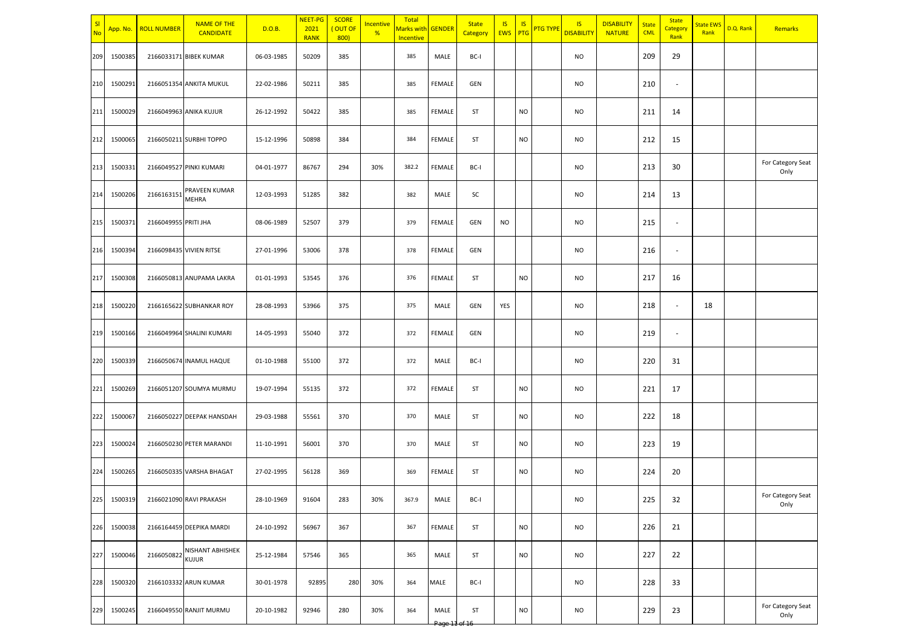| SI<br><b>No</b> | App. No. | <b>ROLL NUMBER</b>   | <b>NAME OF THE</b><br><b>CANDIDATE</b> | D.O.B.     | NEET-PG<br>2021<br><b>RANK</b> | <b>SCORE</b><br>OUT OF<br>800) | Incentive<br>% | Total<br>Marks with GENDER<br>Incentive |               | <b>State</b><br>Category | $\sqrt{15}$<br>EWS PTG | <b>IS</b> | <b>PTG TYPE</b> | <b>IS</b><br><b>DISABILITY</b> | <b>DISABILITY</b><br><b>NATURE</b> | <b>State</b><br><b>CML</b> | <b>State</b><br>Category<br>Rank | <b>State EWS</b><br>Rank | D.Q. Rank | Remarks                   |
|-----------------|----------|----------------------|----------------------------------------|------------|--------------------------------|--------------------------------|----------------|-----------------------------------------|---------------|--------------------------|------------------------|-----------|-----------------|--------------------------------|------------------------------------|----------------------------|----------------------------------|--------------------------|-----------|---------------------------|
| 209             | 1500385  |                      | 2166033171 BIBEK KUMAR                 | 06-03-1985 | 50209                          | 385                            |                | 385                                     | MALE          | BC-I                     |                        |           |                 | <b>NO</b>                      |                                    | 209                        | 29                               |                          |           |                           |
| 210             | 1500291  |                      | 2166051354 ANKITA MUKUL                | 22-02-1986 | 50211                          | 385                            |                | 385                                     | FEMALE        | GEN                      |                        |           |                 | <b>NO</b>                      |                                    | 210                        | $\overline{\phantom{a}}$         |                          |           |                           |
| 211             | 1500029  |                      | 2166049963 ANIKA KUJUR                 | 26-12-1992 | 50422                          | 385                            |                | 385                                     | FEMALE        | <b>ST</b>                |                        | <b>NO</b> |                 | <b>NO</b>                      |                                    | 211                        | 14                               |                          |           |                           |
| 212             | 1500065  |                      | 2166050211 SURBHI TOPPO                | 15-12-1996 | 50898                          | 384                            |                | 384                                     | FEMALE        | ST                       |                        | <b>NO</b> |                 | <b>NO</b>                      |                                    | 212                        | 15                               |                          |           |                           |
| 213             | 1500331  |                      | 2166049527 PINKI KUMARI                | 04-01-1977 | 86767                          | 294                            | 30%            | 382.2                                   | FEMALE        | BC-I                     |                        |           |                 | <b>NO</b>                      |                                    | 213                        | 30                               |                          |           | For Category Seat<br>Only |
| 214             | 1500206  | 2166163151           | PRAVEEN KUMAR<br><b>MEHRA</b>          | 12-03-1993 | 51285                          | 382                            |                | 382                                     | MALE          | SC                       |                        |           |                 | <b>NO</b>                      |                                    | 214                        | 13                               |                          |           |                           |
| 215             | 1500371  | 2166049955 PRITI JHA |                                        | 08-06-1989 | 52507                          | 379                            |                | 379                                     | <b>FEMALE</b> | GEN                      | NO.                    |           |                 | <b>NO</b>                      |                                    | 215                        | $\blacksquare$                   |                          |           |                           |
| 216             | 1500394  |                      | 2166098435 VIVIEN RITSE                | 27-01-1996 | 53006                          | 378                            |                | 378                                     | FEMALE        | GEN                      |                        |           |                 | <b>NO</b>                      |                                    | 216                        | $\blacksquare$                   |                          |           |                           |
| 217             | 1500308  |                      | 2166050813 ANUPAMA LAKRA               | 01-01-1993 | 53545                          | 376                            |                | 376                                     | FEMALE        | <b>ST</b>                |                        | <b>NO</b> |                 | <b>NO</b>                      |                                    | 217                        | 16                               |                          |           |                           |
| 218             | 1500220  |                      | 2166165622 SUBHANKAR ROY               | 28-08-1993 | 53966                          | 375                            |                | 375                                     | MALE          | GEN                      | YES                    |           |                 | <b>NO</b>                      |                                    | 218                        | $\sim$                           | 18                       |           |                           |
| 219             | 1500166  |                      | 2166049964 SHALINI KUMARI              | 14-05-1993 | 55040                          | 372                            |                | 372                                     | <b>FEMALE</b> | GEN                      |                        |           |                 | <b>NO</b>                      |                                    | 219                        | $\overline{\phantom{a}}$         |                          |           |                           |
| 220             | 1500339  |                      | 2166050674 INAMUL HAQUE                | 01-10-1988 | 55100                          | 372                            |                | 372                                     | MALE          | BC-I                     |                        |           |                 | <b>NO</b>                      |                                    | 220                        | 31                               |                          |           |                           |
| 221             | 1500269  |                      | 2166051207 SOUMYA MURMU                | 19-07-1994 | 55135                          | 372                            |                | 372                                     | <b>FEMALE</b> | <b>ST</b>                |                        | <b>NO</b> |                 | <b>NO</b>                      |                                    | 221                        | 17                               |                          |           |                           |
| 222             | 1500067  |                      | 2166050227 DEEPAK HANSDAH              | 29-03-1988 | 55561                          | 370                            |                | 370                                     | MALE          | ST                       |                        | <b>NO</b> |                 | NO                             |                                    | 222                        | 18                               |                          |           |                           |
| 223             | 1500024  |                      | 2166050230 PETER MARANDI               | 11-10-1991 | 56001                          | 370                            |                | 370                                     | MALE          | ST                       |                        | <b>NO</b> |                 | <b>NO</b>                      |                                    | 223                        | 19                               |                          |           |                           |
| 224             | 1500265  |                      | 2166050335 VARSHA BHAGAT               | 27-02-1995 | 56128                          | 369                            |                | 369                                     | FEMALE        | <b>ST</b>                |                        | <b>NO</b> |                 | <b>NO</b>                      |                                    | 224                        | 20                               |                          |           |                           |
| 225             | 1500319  |                      | 2166021090 RAVI PRAKASH                | 28-10-1969 | 91604                          | 283                            | 30%            | 367.9                                   | MALE          | BC-I                     |                        |           |                 | <b>NO</b>                      |                                    | 225                        | 32                               |                          |           | For Category Seat<br>Only |
| 226             | 1500038  |                      | 2166164459 DEEPIKA MARDI               | 24-10-1992 | 56967                          | 367                            |                | 367                                     | FEMALE        | ST                       |                        | <b>NO</b> |                 | <b>NO</b>                      |                                    | 226                        | 21                               |                          |           |                           |
| 227             | 1500046  |                      | 2166050822 NISHANT ABHISHEK            | 25-12-1984 | 57546                          | 365                            |                | 365                                     | MALE          | ST                       |                        | <b>NO</b> |                 | <b>NO</b>                      |                                    | 227                        | 22                               |                          |           |                           |
| 228             | 1500320  |                      | 2166103332 ARUN KUMAR                  | 30-01-1978 | 92895                          | 280                            | 30%            | 364                                     | MALE          | BC-I                     |                        |           |                 | <b>NO</b>                      |                                    | 228                        | 33                               |                          |           |                           |
| 229             | 1500245  |                      | 2166049550 RANJIT MURMU                | 20-10-1982 | 92946                          | 280                            | 30%            | 364                                     | MALE          | ST                       |                        | <b>NO</b> |                 | <b>NO</b>                      |                                    | 229                        | 23                               |                          |           | For Category Seat<br>Only |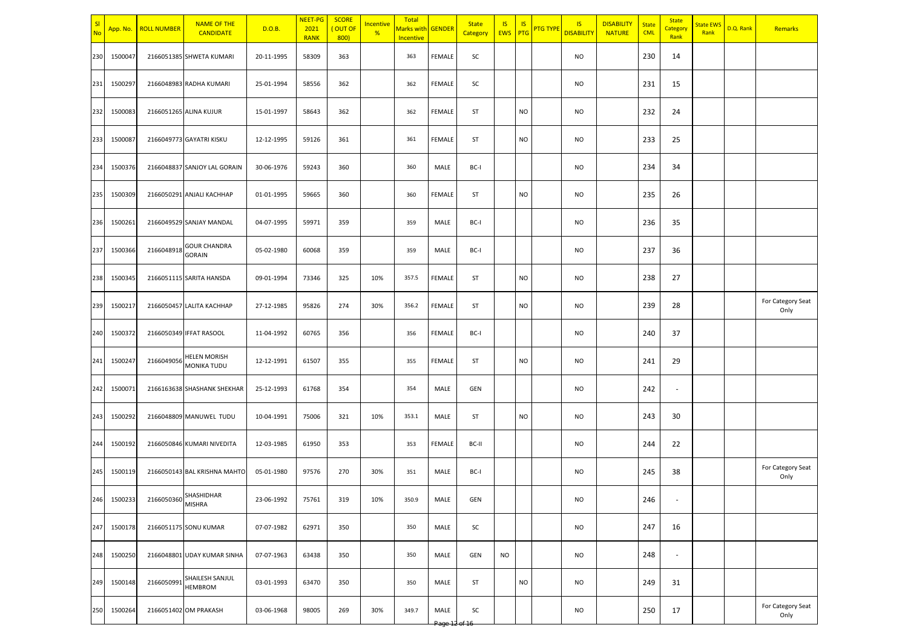| SI<br><b>No</b> |         | App. No. ROLL NUMBER  | <b>NAME OF THE</b><br><b>CANDIDATE</b>    | D.O.B.     | <b>NEET-PG</b><br>2021<br><b>RANK</b> | <b>SCORE</b><br>OUT OF<br>800) | Incentive<br>% | Total<br>Marks with <mark>GENDER</mark><br>Incentive |               | <b>State</b><br>Category | <b>IS</b><br><b>EWS</b> | <b>IS</b><br>PTG | <b>PTG TYPE</b> | <b>IS</b><br><b>DISABILITY</b> | <b>DISABILITY</b><br><b>NATURE</b> | <b>State</b><br><b>CML</b> | <b>State</b><br>Category<br>Rank | <b>State EWS</b><br>Rank | D.Q. Rank | Remarks                   |
|-----------------|---------|-----------------------|-------------------------------------------|------------|---------------------------------------|--------------------------------|----------------|------------------------------------------------------|---------------|--------------------------|-------------------------|------------------|-----------------|--------------------------------|------------------------------------|----------------------------|----------------------------------|--------------------------|-----------|---------------------------|
| 230             | 1500047 |                       | 2166051385 SHWETA KUMARI                  | 20-11-1995 | 58309                                 | 363                            |                | 363                                                  | FEMALE        | SC                       |                         |                  |                 | <b>NO</b>                      |                                    | 230                        | 14                               |                          |           |                           |
| 231             | 1500297 |                       | 2166048983 RADHA KUMARI                   | 25-01-1994 | 58556                                 | 362                            |                | 362                                                  | FEMALE        | SC                       |                         |                  |                 | <b>NO</b>                      |                                    | 231                        | 15                               |                          |           |                           |
| 232             | 1500083 |                       | 2166051265 ALINA KUJUR                    | 15-01-1997 | 58643                                 | 362                            |                | 362                                                  | FEMALE        | <b>ST</b>                |                         | <b>NO</b>        |                 | <b>NO</b>                      |                                    | 232                        | 24                               |                          |           |                           |
| 233             | 1500087 |                       | 2166049773 GAYATRI KISKU                  | 12-12-1995 | 59126                                 | 361                            |                | 361                                                  | FEMALE        | ST                       |                         | <b>NO</b>        |                 | <b>NO</b>                      |                                    | 233                        | 25                               |                          |           |                           |
| 234             | 1500376 |                       | 2166048837 SANJOY LAL GORAIN              | 30-06-1976 | 59243                                 | 360                            |                | 360                                                  | MALE          | BC-I                     |                         |                  |                 | <b>NO</b>                      |                                    | 234                        | 34                               |                          |           |                           |
| 235             | 1500309 |                       | 2166050291 ANJALI KACHHAP                 | 01-01-1995 | 59665                                 | 360                            |                | 360                                                  | FEMALE        | ST                       |                         | NO               |                 | <b>NO</b>                      |                                    | 235                        | 26                               |                          |           |                           |
| 236             | 1500261 |                       | 2166049529 SANJAY MANDAL                  | 04-07-1995 | 59971                                 | 359                            |                | 359                                                  | MALE          | BC-I                     |                         |                  |                 | <b>NO</b>                      |                                    | 236                        | 35                               |                          |           |                           |
| 237             | 1500366 | 2166048918            | <b>GOUR CHANDRA</b><br><b>GORAIN</b>      | 05-02-1980 | 60068                                 | 359                            |                | 359                                                  | MALE          | BC-I                     |                         |                  |                 | <b>NO</b>                      |                                    | 237                        | 36                               |                          |           |                           |
| 238             | 1500345 |                       | 2166051115 SARITA HANSDA                  | 09-01-1994 | 73346                                 | 325                            | 10%            | 357.5                                                | FEMALE        | ST                       |                         | <b>NO</b>        |                 | <b>NO</b>                      |                                    | 238                        | 27                               |                          |           |                           |
| 239             | 1500217 |                       | 2166050457 LALITA KACHHAP                 | 27-12-1985 | 95826                                 | 274                            | 30%            | 356.2                                                | FEMALE        | ST                       |                         | NO               |                 | <b>NO</b>                      |                                    | 239                        | 28                               |                          |           | For Category Seat<br>Only |
| 240             | 1500372 |                       | 2166050349 IFFAT RASOOL                   | 11-04-1992 | 60765                                 | 356                            |                | 356                                                  | FEMALE        | BC-I                     |                         |                  |                 | <b>NO</b>                      |                                    | 240                        | 37                               |                          |           |                           |
| 241             | 1500247 | 2166049056            | <b>HELEN MORISH</b><br><b>MONIKA TUDU</b> | 12-12-1991 | 61507                                 | 355                            |                | 355                                                  | FEMALE        | ST                       |                         | NO               |                 | <b>NO</b>                      |                                    | 241                        | 29                               |                          |           |                           |
| 242             | 1500071 |                       | 2166163638 SHASHANK SHEKHAR               | 25-12-1993 | 61768                                 | 354                            |                | 354                                                  | MALE          | GEN                      |                         |                  |                 | <b>NO</b>                      |                                    | 242                        | $\overline{\phantom{a}}$         |                          |           |                           |
| 243             | 1500292 |                       | 2166048809 MANUWEL TUDU                   | 10-04-1991 | 75006                                 | 321                            | 10%            | 353.1                                                | MALE          | ST                       |                         | NO               |                 | <b>NO</b>                      |                                    | 243                        | 30                               |                          |           |                           |
| 244             | 1500192 |                       | 2166050846 KUMARI NIVEDITA                | 12-03-1985 | 61950                                 | 353                            |                | 353                                                  | <b>FEMALE</b> | BC-II                    |                         |                  |                 | <b>NO</b>                      |                                    | 244                        | 22                               |                          |           |                           |
| 245             | 1500119 |                       | 2166050143 BAL KRISHNA MAHTO              | 05-01-1980 | 97576                                 | 270                            | 30%            | 351                                                  | MALE          | BC-I                     |                         |                  |                 | <b>NO</b>                      |                                    | 245                        | 38                               |                          |           | For Category Seat<br>Only |
| 246             | 1500233 | 2166050360 SHASHIDHAR |                                           | 23-06-1992 | 75761                                 | 319                            | 10%            | 350.9                                                | MALE          | GEN                      |                         |                  |                 | <b>NO</b>                      |                                    | 246                        |                                  |                          |           |                           |
| 247             | 1500178 |                       | 2166051175 SONU KUMAR                     | 07-07-1982 | 62971                                 | 350                            |                | 350                                                  | MALE          | SC                       |                         |                  |                 | <b>NO</b>                      |                                    | 247                        | 16                               |                          |           |                           |
| 248             | 1500250 |                       | 2166048801 UDAY KUMAR SINHA               | 07-07-1963 | 63438                                 | 350                            |                | 350                                                  | MALE          | GEN                      | <b>NO</b>               |                  |                 | <b>NO</b>                      |                                    | 248                        | $\overline{\phantom{a}}$         |                          |           |                           |
| 249             | 1500148 | 2166050991            | SHAILESH SANJUL<br><b>HEMBROM</b>         | 03-01-1993 | 63470                                 | 350                            |                | 350                                                  | MALE          | ST                       |                         | <b>NO</b>        |                 | <b>NO</b>                      |                                    | 249                        | 31                               |                          |           |                           |
| 250             | 1500264 |                       | 2166051402 OM PRAKASH                     | 03-06-1968 | 98005                                 | 269                            | 30%            | 349.7                                                | MALE          | SC                       |                         |                  |                 | <b>NO</b>                      |                                    | 250                        | 17                               |                          |           | For Category Seat<br>Only |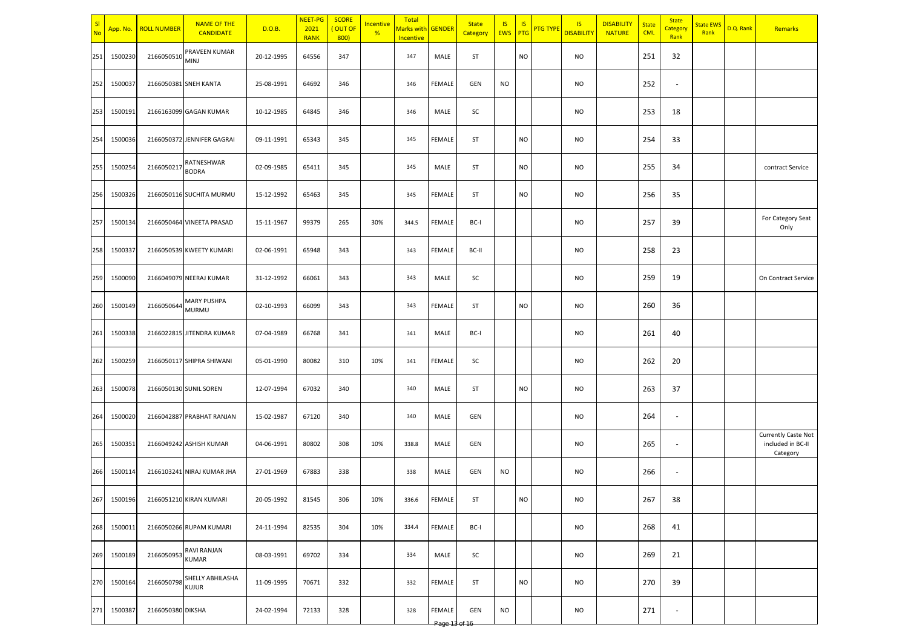| SI<br>No | App. No.    | <b>ROLL NUMBER</b> | <b>NAME OF THE</b><br><b>CANDIDATE</b>      | D.O.B.     | NEET-PG<br>2021<br><b>RANK</b> | <b>SCORE</b><br>OUT OF<br>800) | Incentive<br>% | Total<br>Marks with<br>Incentive | GENDER        | <b>State</b><br>Category | <b>IS</b><br><b>EWS</b> | <b>IS</b><br>PTG | <mark>PTG TYPE</mark> | <b>IS</b><br><b>DISABILITY</b> | <b>DISABILITY</b><br><b>NATURE</b> | <b>State</b><br><b>CML</b> | <b>State</b><br>Category<br>Rank | <b>State EWS</b><br>Rank | D.Q. Rank | Remarks                                                     |
|----------|-------------|--------------------|---------------------------------------------|------------|--------------------------------|--------------------------------|----------------|----------------------------------|---------------|--------------------------|-------------------------|------------------|-----------------------|--------------------------------|------------------------------------|----------------------------|----------------------------------|--------------------------|-----------|-------------------------------------------------------------|
| 251      | 1500230     | 2166050510         | PRAVEEN KUMAR<br><b>MINJ</b>                | 20-12-1995 | 64556                          | 347                            |                | 347                              | MALE          | ST                       |                         | <b>NO</b>        |                       | NO                             |                                    | 251                        | 32                               |                          |           |                                                             |
| 252      | 1500037     |                    | 2166050381 SNEH KANTA                       | 25-08-1991 | 64692                          | 346                            |                | 346                              | <b>FEMALE</b> | GEN                      | <b>NO</b>               |                  |                       | <b>NO</b>                      |                                    | 252                        | ٠                                |                          |           |                                                             |
| 253      | 1500191     |                    | 2166163099 GAGAN KUMAR                      | 10-12-1985 | 64845                          | 346                            |                | 346                              | MALE          | SC                       |                         |                  |                       | <b>NO</b>                      |                                    | 253                        | 18                               |                          |           |                                                             |
| 254      | 1500036     |                    | 2166050372 JENNIFER GAGRAI                  | 09-11-1991 | 65343                          | 345                            |                | 345                              | <b>FEMALE</b> | ST                       |                         | NO               |                       | <b>NO</b>                      |                                    | 254                        | 33                               |                          |           |                                                             |
| 255      | 1500254     | 216605021          | RATNESHWAR<br><b>BODRA</b>                  | 02-09-1985 | 65411                          | 345                            |                | 345                              | MALE          | ST                       |                         | NO               |                       | <b>NO</b>                      |                                    | 255                        | 34                               |                          |           | contract Service                                            |
| 256      | 1500326     |                    | 2166050116 SUCHITA MURMU                    | 15-12-1992 | 65463                          | 345                            |                | 345                              | FEMALE        | ST                       |                         | <b>NO</b>        |                       | <b>NO</b>                      |                                    | 256                        | 35                               |                          |           |                                                             |
| 257      | 1500134     |                    | 2166050464 VINEETA PRASAD                   | 15-11-1967 | 99379                          | 265                            | 30%            | 344.5                            | <b>FEMALE</b> | BC-I                     |                         |                  |                       | NO.                            |                                    | 257                        | 39                               |                          |           | For Category Seat<br>Only                                   |
| 258      | 150033      |                    | 2166050539 KWEETY KUMARI                    | 02-06-1991 | 65948                          | 343                            |                | 343                              | <b>FEMALE</b> | BC-II                    |                         |                  |                       | NO.                            |                                    | 258                        | 23                               |                          |           |                                                             |
| 259      | 1500090     |                    | 2166049079 NEERAJ KUMAR                     | 31-12-1992 | 66061                          | 343                            |                | 343                              | MALE          | SC                       |                         |                  |                       | <b>NO</b>                      |                                    | 259                        | 19                               |                          |           | On Contract Service                                         |
| 260      | 1500149     | 2166050644         | <b>MARY PUSHPA</b><br><b>MURMU</b>          | 02-10-1993 | 66099                          | 343                            |                | 343                              | <b>FEMALE</b> | ST                       |                         | <b>NO</b>        |                       | <b>NO</b>                      |                                    | 260                        | 36                               |                          |           |                                                             |
| 261      | 1500338     |                    | 2166022815 JITENDRA KUMAR                   | 07-04-1989 | 66768                          | 341                            |                | 341                              | MALE          | BC-I                     |                         |                  |                       | <b>NO</b>                      |                                    | 261                        | 40                               |                          |           |                                                             |
| 262      | 1500259     |                    | 2166050117 SHIPRA SHIWANI                   | 05-01-1990 | 80082                          | 310                            | 10%            | 341                              | <b>FEMALE</b> | SC                       |                         |                  |                       | <b>NO</b>                      |                                    | 262                        | 20                               |                          |           |                                                             |
| 263      | 1500078     |                    | 2166050130 SUNIL SOREN                      | 12-07-1994 | 67032                          | 340                            |                | 340                              | MALE          | ST                       |                         | <b>NO</b>        |                       | <b>NO</b>                      |                                    | 263                        | 37                               |                          |           |                                                             |
| 264      | 1500020     |                    | 2166042887 PRABHAT RANJAN                   | 15-02-1987 | 67120                          | 340                            |                | 340                              | MALE          | <b>GEN</b>               |                         |                  |                       | <b>NO</b>                      |                                    | 264                        | $\overline{\phantom{a}}$         |                          |           |                                                             |
| 265      | 1500351     |                    | 2166049242 ASHISH KUMAR                     | 04-06-1991 | 80802                          | 308                            | 10%            | 338.8                            | MALE          | GEN                      |                         |                  |                       | <b>NO</b>                      |                                    | 265                        | $\overline{\phantom{a}}$         |                          |           | <b>Currently Caste Not</b><br>included in BC-II<br>Category |
| 266      | 1500114     |                    | 2166103241 NIRAJ KUMAR JHA                  | 27-01-1969 | 67883                          | 338                            |                | 338                              | MALE          | GEN                      | <b>NO</b>               |                  |                       | <b>NO</b>                      |                                    | 266                        | $\overline{\phantom{a}}$         |                          |           |                                                             |
|          | 267 1500196 |                    | 2166051210 KIRAN KUMARI                     | 20-05-1992 | 81545                          | 306                            | 10%            | 336.6                            | FEMALE        | ST                       |                         | NO.              |                       | <b>NO</b>                      |                                    | 267                        | 38                               |                          |           |                                                             |
|          | 268 1500011 |                    | 2166050266 RUPAM KUMARI                     | 24-11-1994 | 82535                          | 304                            | 10%            | 334.4                            | FEMALE        | BC-I                     |                         |                  |                       | <b>NO</b>                      |                                    | 268                        | 41                               |                          |           |                                                             |
| 269      | 1500189     | 2166050953 KUMAR   | RAVI RANJAN                                 | 08-03-1991 | 69702                          | 334                            |                | 334                              | MALE          | SC                       |                         |                  |                       | <b>NO</b>                      |                                    | 269                        | 21                               |                          |           |                                                             |
| 270      | 1500164     |                    | 2166050798 SHELLY ABHILASHA<br><b>KUJUR</b> | 11-09-1995 | 70671                          | 332                            |                | 332                              | FEMALE        | ST                       |                         | <b>NO</b>        |                       | <b>NO</b>                      |                                    | 270                        | 39                               |                          |           |                                                             |
| 271      | 1500387     | 2166050380 DIKSHA  |                                             | 24-02-1994 | 72133                          | 328                            |                | 328                              | FEMALE        | GEN                      | <b>NO</b>               |                  |                       | <b>NO</b>                      |                                    | 271                        | $\overline{\phantom{a}}$         |                          |           |                                                             |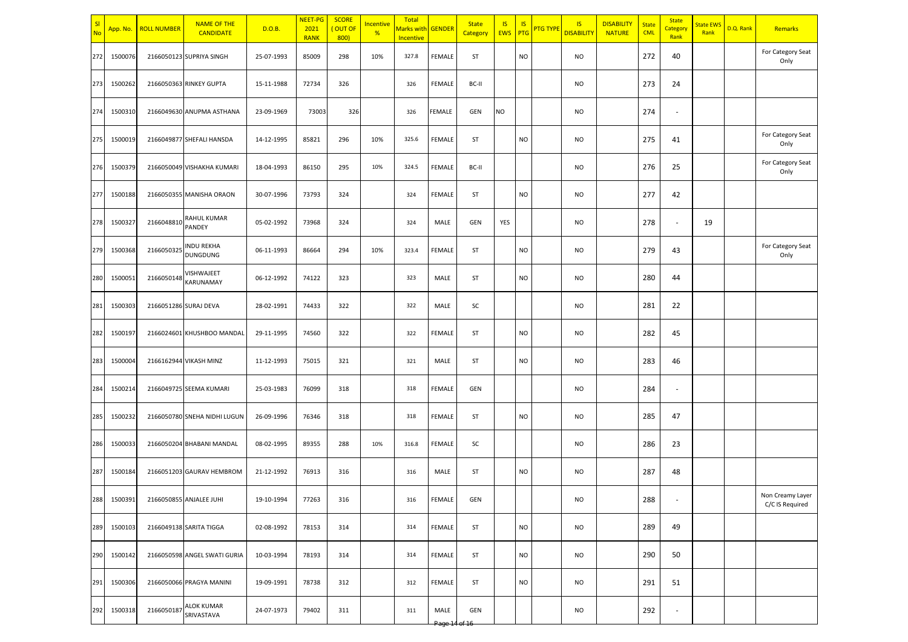| <u>s</u><br><b>No</b> |         | App. No. ROLL NUMBER | <b>NAME OF THE</b><br><b>CANDIDATE</b> | D.O.B.     | <b>NEET-PG</b><br>2021<br><b>RANK</b> | <b>SCORE</b><br>OUT OF<br>800) | <b>Incentive</b><br>% | Total<br><mark>Marks wit</mark> l<br>Incentive | <b>GENDER</b> | <b>State</b><br>Category | <b>IS</b><br><b>EWS</b> | <b>IS</b><br>PTG | <b>PTG TYPE</b> | <b>IS</b><br><b>DISABILITY</b> | <b>DISABILITY</b><br><b>NATURE</b> | State<br><b>CML</b> | <b>State</b><br>Category<br>Rank | <b>State EWS</b><br>Rank | D.Q. Rank | Remarks                             |
|-----------------------|---------|----------------------|----------------------------------------|------------|---------------------------------------|--------------------------------|-----------------------|------------------------------------------------|---------------|--------------------------|-------------------------|------------------|-----------------|--------------------------------|------------------------------------|---------------------|----------------------------------|--------------------------|-----------|-------------------------------------|
| 272                   | 1500076 |                      | 2166050123 SUPRIYA SINGH               | 25-07-1993 | 85009                                 | 298                            | 10%                   | 327.8                                          | FEMALE        | ST                       |                         | <b>NO</b>        |                 | <b>NO</b>                      |                                    | 272                 | 40                               |                          |           | For Category Seat<br>Only           |
| 273                   | 1500262 |                      | 2166050363 RINKEY GUPTA                | 15-11-1988 | 72734                                 | 326                            |                       | 326                                            | FEMALE        | BC-II                    |                         |                  |                 | <b>NO</b>                      |                                    | 273                 | 24                               |                          |           |                                     |
| 274                   | 1500310 |                      | 2166049630 ANUPMA ASTHANA              | 23-09-1969 | 73003                                 | 326                            |                       | 326                                            | <b>FEMALE</b> | GEN                      | NO                      |                  |                 | <b>NO</b>                      |                                    | 274                 | $\overline{a}$                   |                          |           |                                     |
| 275                   | 1500019 |                      | 2166049877 SHEFALI HANSDA              | 14-12-1995 | 85821                                 | 296                            | 10%                   | 325.6                                          | FEMALE        | ST                       |                         | <b>NO</b>        |                 | <b>NO</b>                      |                                    | 275                 | 41                               |                          |           | For Category Seat<br>Only           |
| 276                   | 1500379 |                      | 2166050049 VISHAKHA KUMARI             | 18-04-1993 | 86150                                 | 295                            | 10%                   | 324.5                                          | FEMALE        | BC-II                    |                         |                  |                 | <b>NO</b>                      |                                    | 276                 | 25                               |                          |           | For Category Seat<br>Only           |
| 277                   | 1500188 |                      | 2166050355 MANISHA ORAON               | 30-07-1996 | 73793                                 | 324                            |                       | 324                                            | FEMALE        | ST                       |                         | <b>NO</b>        |                 | <b>NO</b>                      |                                    | 277                 | 42                               |                          |           |                                     |
| 278                   | 1500327 | 2166048810           | RAHUL KUMAR<br>PANDEY                  | 05-02-1992 | 73968                                 | 324                            |                       | 324                                            | MALE          | <b>GEN</b>               | YES                     |                  |                 | <b>NO</b>                      |                                    | 278                 | $\overline{a}$                   | 19                       |           |                                     |
| 279                   | 1500368 | 2166050325           | <b>NDU REKHA</b><br>DUNGDUNG           | 06-11-1993 | 86664                                 | 294                            | 10%                   | 323.4                                          | FEMALE        | ST                       |                         | NO               |                 | <b>NO</b>                      |                                    | 279                 | 43                               |                          |           | For Category Seat<br>Only           |
| 280                   | 1500051 | 2166050148           | VISHWAJEET<br>KARUNAMAY                | 06-12-1992 | 74122                                 | 323                            |                       | 323                                            | MALE          | ST                       |                         | <b>NO</b>        |                 | <b>NO</b>                      |                                    | 280                 | 44                               |                          |           |                                     |
| 281                   | 1500303 |                      | 2166051286 SURAJ DEVA                  | 28-02-1991 | 74433                                 | 322                            |                       | 322                                            | MALE          | SC                       |                         |                  |                 | <b>NO</b>                      |                                    | 281                 | 22                               |                          |           |                                     |
| 282                   | 1500197 |                      | 2166024601 KHUSHBOO MANDAL             | 29-11-1995 | 74560                                 | 322                            |                       | 322                                            | FEMALE        | ST                       |                         | <b>NO</b>        |                 | <b>NO</b>                      |                                    | 282                 | 45                               |                          |           |                                     |
| 283                   | 1500004 |                      | 2166162944 VIKASH MINZ                 | 11-12-1993 | 75015                                 | 321                            |                       | 321                                            | MALE          | ST                       |                         | <b>NO</b>        |                 | <b>NO</b>                      |                                    | 283                 | 46                               |                          |           |                                     |
| 284                   | 1500214 |                      | 2166049725 SEEMA KUMARI                | 25-03-1983 | 76099                                 | 318                            |                       | 318                                            | <b>FEMALE</b> | GEN                      |                         |                  |                 | <b>NO</b>                      |                                    | 284                 | $\overline{a}$                   |                          |           |                                     |
| 285                   | 1500232 |                      | 2166050780 SNEHA NIDHI LUGUN           | 26-09-1996 | 76346                                 | 318                            |                       | 318                                            | FEMALE        | ST                       |                         | <b>NO</b>        |                 | <b>NO</b>                      |                                    | 285                 | 47                               |                          |           |                                     |
| 286                   | 1500033 |                      | 2166050204 BHABANI MANDAL              | 08-02-1995 | 89355                                 | 288                            | 10%                   | 316.8                                          | FEMALE        | SC                       |                         |                  |                 | <b>NO</b>                      |                                    | 286                 | 23                               |                          |           |                                     |
| 287                   | 1500184 |                      | 2166051203 GAURAV HEMBROM              | 21-12-1992 | 76913                                 | 316                            |                       | 316                                            | MALE          | ST                       |                         | <b>NO</b>        |                 | <b>NO</b>                      |                                    | 287                 | 48                               |                          |           |                                     |
| 288                   | 1500391 |                      | 2166050855 ANJALEE JUHI                | 19-10-1994 | 77263                                 | 316                            |                       | 316                                            | FEMALE        | <b>GEN</b>               |                         |                  |                 | <b>NO</b>                      |                                    | 288                 | ٠                                |                          |           | Non Creamy Layer<br>C/C IS Required |
| 289                   | 1500103 |                      | 2166049138 SARITA TIGGA                | 02-08-1992 | 78153                                 | 314                            |                       | 314                                            | FEMALE        | ST                       |                         | <b>NO</b>        |                 | <b>NO</b>                      |                                    | 289                 | 49                               |                          |           |                                     |
| 290                   | 1500142 |                      | 2166050598 ANGEL SWATI GURIA           | 10-03-1994 | 78193                                 | 314                            |                       | 314                                            | FEMALE        | ST                       |                         | <b>NO</b>        |                 | <b>NO</b>                      |                                    | 290                 | 50                               |                          |           |                                     |
| 291                   | 1500306 |                      | 2166050066 PRAGYA MANINI               | 19-09-1991 | 78738                                 | 312                            |                       | 312                                            | FEMALE        | ST                       |                         | <b>NO</b>        |                 | <b>NO</b>                      |                                    | 291                 | 51                               |                          |           |                                     |
| 292                   | 1500318 | 2166050187           | ALOK KUMAR<br>SRIVASTAVA               | 24-07-1973 | 79402                                 | 311                            |                       | 311                                            | MALE          | GEN                      |                         |                  |                 | <b>NO</b>                      |                                    | 292                 | $\overline{\phantom{a}}$         |                          |           |                                     |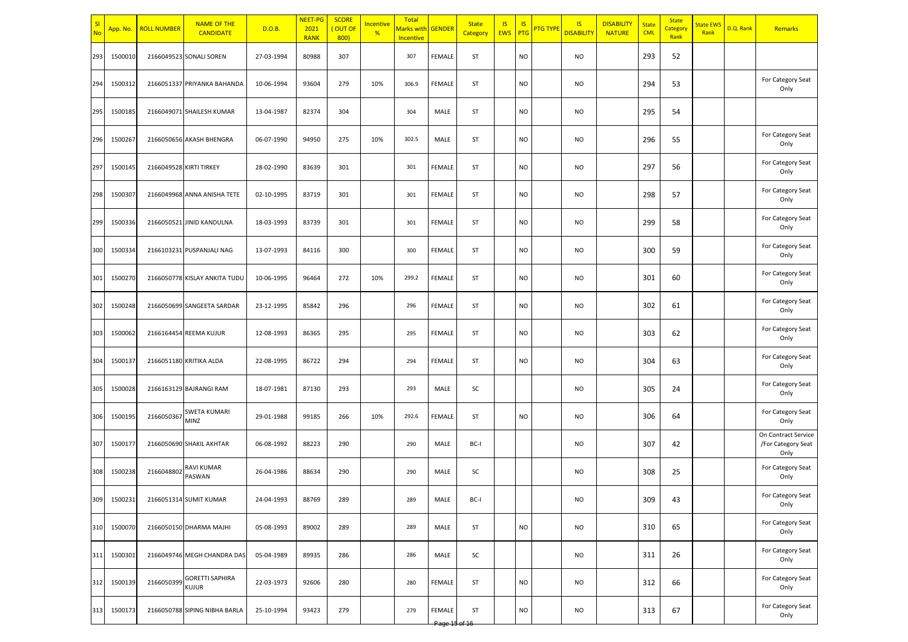| SI<br><b>No</b> | App. No. | <b>ROLL NUMBER</b>      | <b>NAME OF THE</b><br><b>CANDIDATE</b> | D.O.B.     | <b>NEET-PG</b><br>2021<br><b>RANK</b> | <b>SCORE</b><br>(OUT OF<br>800) | Incentive<br>% | Total<br>Marks with GENDER<br>Incentive |                              | <b>State</b><br>Category | IS<br><b>EWS</b> | <b>IS</b><br>PTG | <mark>PTG TYPE</mark> | <b>IS</b><br><b>DISABILITY</b> | <b>DISABILITY</b><br><b>NATURE</b> | <b>State</b><br><b>CML</b> | <b>State</b><br>Category<br>Rank | <b>State EWS</b><br>Rank | D.Q. Rank | Remarks                                           |
|-----------------|----------|-------------------------|----------------------------------------|------------|---------------------------------------|---------------------------------|----------------|-----------------------------------------|------------------------------|--------------------------|------------------|------------------|-----------------------|--------------------------------|------------------------------------|----------------------------|----------------------------------|--------------------------|-----------|---------------------------------------------------|
| 293             | 1500010  |                         | 2166049523 SONALI SOREN                | 27-03-1994 | 80988                                 | 307                             |                | 307                                     | FEMALE                       | ST                       |                  | <b>NO</b>        |                       | <b>NO</b>                      |                                    | 293                        | 52                               |                          |           |                                                   |
| 294             | 1500312  |                         | 2166051337 PRIYANKA BAHANDA            | 10-06-1994 | 93604                                 | 279                             | 10%            | 306.9                                   | FEMALE                       | ST                       |                  | <b>NO</b>        |                       | <b>NO</b>                      |                                    | 294                        | 53                               |                          |           | For Category Seat<br>Only                         |
| 295             | 1500185  |                         | 2166049071 SHAILESH KUMAR              | 13-04-1987 | 82374                                 | 304                             |                | 304                                     | MALE                         | ST                       |                  | <b>NO</b>        |                       | <b>NO</b>                      |                                    | 295                        | 54                               |                          |           |                                                   |
| 296             | 1500267  |                         | 2166050656 AKASH BHENGRA               | 06-07-1990 | 94950                                 | 275                             | 10%            | 302.5                                   | MALE                         | ST                       |                  | <b>NO</b>        |                       | <b>NO</b>                      |                                    | 296                        | 55                               |                          |           | For Category Seat<br>Only                         |
| 297             | 1500145  | 2166049528 KIRTI TIRKEY |                                        | 28-02-1990 | 83639                                 | 301                             |                | 301                                     | FEMALE                       | ST                       |                  | <b>NO</b>        |                       | <b>NO</b>                      |                                    | 297                        | 56                               |                          |           | For Category Seat<br>Only                         |
| 298             | 1500307  |                         | 2166049968 ANNA ANISHA TETE            | 02-10-1995 | 83719                                 | 301                             |                | 301                                     | FEMALE                       | <b>ST</b>                |                  | <b>NO</b>        |                       | <b>NO</b>                      |                                    | 298                        | 57                               |                          |           | For Category Seat<br>Only                         |
| 299             | 1500336  |                         | 2166050521 JINID KANDULNA              | 18-03-1993 | 83739                                 | 301                             |                | 301                                     | FEMALE                       | ST                       |                  | <b>NO</b>        |                       | <b>NO</b>                      |                                    | 299                        | 58                               |                          |           | For Category Seat<br>Only                         |
| 300             | 1500334  |                         | 2166103231 PUSPANJALI NAG              | 13-07-1993 | 84116                                 | 300                             |                | 300                                     | FEMALE                       | ST                       |                  | <b>NO</b>        |                       | <b>NO</b>                      |                                    | 300                        | 59                               |                          |           | For Category Seat<br>Only                         |
| 301             | 1500270  |                         | 2166050778 KISLAY ANKITA TUDU          | 10-06-1995 | 96464                                 | 272                             | 10%            | 299.2                                   | FEMALE                       | ST                       |                  | <b>NO</b>        |                       | <b>NO</b>                      |                                    | 301                        | 60                               |                          |           | For Category Seat<br>Only                         |
| 302             | 1500248  |                         | 2166050699 SANGEETA SARDAR             | 23-12-1995 | 85842                                 | 296                             |                | 296                                     | FEMALE                       | ST                       |                  | <b>NO</b>        |                       | <b>NO</b>                      |                                    | 302                        | 61                               |                          |           | For Category Seat<br>Only                         |
| 303             | 1500062  |                         | 2166164454 REEMA KUJUR                 | 12-08-1993 | 86365                                 | 295                             |                | 295                                     | FEMALE                       | ST                       |                  | <b>NO</b>        |                       | <b>NO</b>                      |                                    | 303                        | 62                               |                          |           | For Category Seat<br>Only                         |
| 304             | 1500137  |                         | 2166051180 KRITIKA ALDA                | 22-08-1995 | 86722                                 | 294                             |                | 294                                     | FEMALE                       | ST                       |                  | <b>NO</b>        |                       | <b>NO</b>                      |                                    | 304                        | 63                               |                          |           | For Category Seat<br>Only                         |
| 305             | 1500028  |                         | 2166163129 BAJRANGI RAM                | 18-07-1981 | 87130                                 | 293                             |                | 293                                     | MALE                         | SC                       |                  |                  |                       | <b>NO</b>                      |                                    | 305                        | 24                               |                          |           | For Category Seat<br>Only                         |
| 306             | 1500195  | 2166050367              | SWETA KUMARI<br><b>MINZ</b>            | 29-01-1988 | 99185                                 | 266                             | 10%            | 292.6                                   | FEMALE                       | ST                       |                  | <b>NO</b>        |                       | <b>NO</b>                      |                                    | 306                        | 64                               |                          |           | For Category Seat<br>Only                         |
| 307             | 1500177  |                         | 2166050690 SHAKIL AKHTAR               | 06-08-1992 | 88223                                 | 290                             |                | 290                                     | MALE                         | BC-I                     |                  |                  |                       | <b>NO</b>                      |                                    | 307                        | 42                               |                          |           | On Contract Service<br>/For Category Seat<br>Only |
| 308             | 1500238  | 2166048802              | <b>RAVI KUMAR</b><br>PASWAN            | 26-04-1986 | 88634                                 | 290                             |                | 290                                     | MALE                         | SC                       |                  |                  |                       | <b>NO</b>                      |                                    | 308                        | 25                               |                          |           | For Category Seat<br>Only                         |
| 309             | 1500231  |                         | 2166051314 SUMIT KUMAR                 | 24-04-1993 | 88769                                 | 289                             |                | 289                                     | MALE                         | BC-I                     |                  |                  |                       | <b>NO</b>                      |                                    | 309                        | 43                               |                          |           | For Category Seat<br>Only                         |
| 310             | 1500070  |                         | 2166050150 DHARMA MAJHI                | 05-08-1993 | 89002                                 | 289                             |                | 289                                     | MALE                         | ST                       |                  | <b>NO</b>        |                       | <b>NO</b>                      |                                    | 310                        | 65                               |                          |           | For Category Seat<br>Only                         |
| 311             | 1500301  |                         | 2166049746 MEGH CHANDRA DAS            | 05-04-1989 | 89935                                 | 286                             |                | 286                                     | MALE                         | SC                       |                  |                  |                       | <b>NO</b>                      |                                    | 311                        | 26                               |                          |           | For Category Seat<br>Only                         |
| 312             | 1500139  |                         | 2166050399 GORETTI SAPHIRA             | 22-03-1973 | 92606                                 | 280                             |                | 280                                     | FEMALE                       | ST                       |                  | <b>NO</b>        |                       | <b>NO</b>                      |                                    | 312                        | 66                               |                          |           | For Category Seat<br>Only                         |
| 313             | 1500173  |                         | 2166050788 SIPING NIBHA BARLA          | 25-10-1994 | 93423                                 | 279                             |                | 279                                     | FEMALE<br><del>Page 15</del> | ST                       |                  | <b>NO</b>        |                       | <b>NO</b>                      |                                    | 313                        | 67                               |                          |           | For Category Seat<br>Only                         |